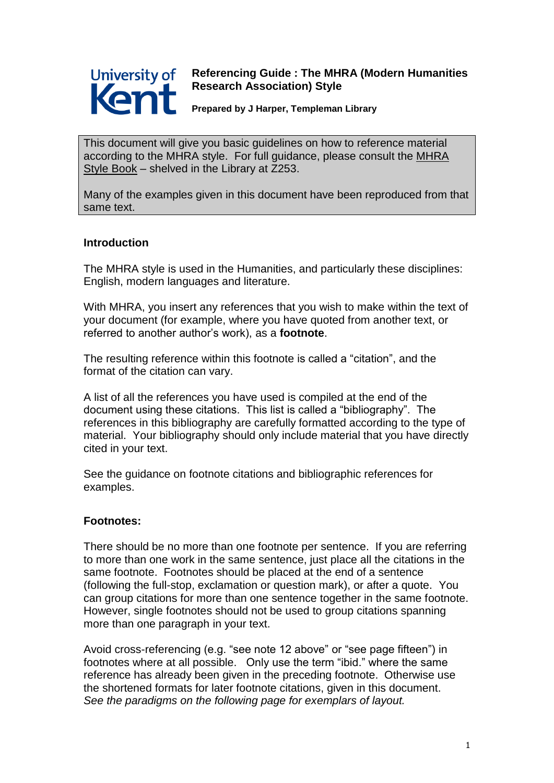

# **Referencing Guide : The MHRA (Modern Humanities Research Association) Style**

**Prepared by J Harper, Templeman Library**

This document will give you basic guidelines on how to reference material according to the MHRA style. For full guidance, please consult the MHRA Style Book – shelved in the Library at Z253.

Many of the examples given in this document have been reproduced from that same text.

# **Introduction**

The MHRA style is used in the Humanities, and particularly these disciplines: English, modern languages and literature.

With MHRA, you insert any references that you wish to make within the text of your document (for example, where you have quoted from another text, or referred to another author"s work), as a **footnote**.

The resulting reference within this footnote is called a "citation", and the format of the citation can vary.

A list of all the references you have used is compiled at the end of the document using these citations. This list is called a "bibliography". The references in this bibliography are carefully formatted according to the type of material. Your bibliography should only include material that you have directly cited in your text.

See the guidance on footnote citations and bibliographic references for examples.

# **Footnotes:**

There should be no more than one footnote per sentence. If you are referring to more than one work in the same sentence, just place all the citations in the same footnote. Footnotes should be placed at the end of a sentence (following the full-stop, exclamation or question mark), or after a quote. You can group citations for more than one sentence together in the same footnote. However, single footnotes should not be used to group citations spanning more than one paragraph in your text.

Avoid cross-referencing (e.g. "see note 12 above" or "see page fifteen") in footnotes where at all possible. Only use the term "ibid." where the same reference has already been given in the preceding footnote. Otherwise use the shortened formats for later footnote citations, given in this document. *See the paradigms on the following page for exemplars of layout.*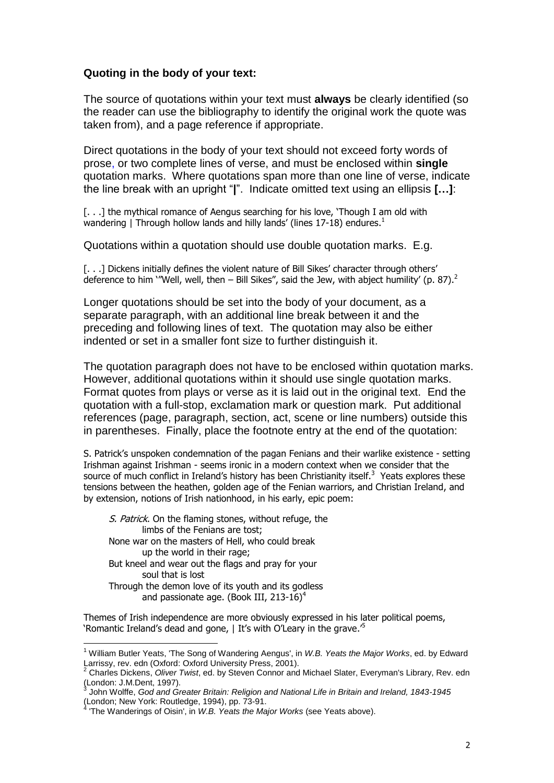## **Quoting in the body of your text:**

The source of quotations within your text must **always** be clearly identified (so the reader can use the bibliography to identify the original work the quote was taken from), and a page reference if appropriate.

Direct quotations in the body of your text should not exceed forty words of prose, or two complete lines of verse, and must be enclosed within **single** quotation marks. Where quotations span more than one line of verse, indicate the line break with an upright "**|**". Indicate omitted text using an ellipsis **[…]**:

[...] the mythical romance of Aengus searching for his love, 'Though I am old with wandering | Through hollow lands and hilly lands' (lines 17-18) endures.<sup>1</sup>

Quotations within a quotation should use double quotation marks. E.g.

[...] Dickens initially defines the violent nature of Bill Sikes' character through others' deference to him `''Well, well, then  $-$  Bill Sikes'', said the Jew, with abject humility' (p. 87).<sup>2</sup>

Longer quotations should be set into the body of your document, as a separate paragraph, with an additional line break between it and the preceding and following lines of text. The quotation may also be either indented or set in a smaller font size to further distinguish it.

The quotation paragraph does not have to be enclosed within quotation marks. However, additional quotations within it should use single quotation marks. Format quotes from plays or verse as it is laid out in the original text. End the quotation with a full-stop, exclamation mark or question mark. Put additional references (page, paragraph, section, act, scene or line numbers) outside this in parentheses. Finally, place the footnote entry at the end of the quotation:

S. Patrick's unspoken condemnation of the pagan Fenians and their warlike existence - setting Irishman against Irishman - seems ironic in a modern context when we consider that the source of much conflict in Ireland's history has been Christianity itself.<sup>3</sup> Yeats explores these tensions between the heathen, golden age of the Fenian warriors, and Christian Ireland, and by extension, notions of Irish nationhood, in his early, epic poem:

S. Patrick. On the flaming stones, without refuge, the limbs of the Fenians are tost; None war on the masters of Hell, who could break up the world in their rage; But kneel and wear out the flags and pray for your soul that is lost Through the demon love of its youth and its godless and passionate age. (Book III, 213-16)<sup>4</sup>

 $\overline{a}$ 

Themes of Irish independence are more obviously expressed in his later political poems, 'Romantic Ireland's dead and gone, | It's with O'Leary in the grave.<sup>15</sup>

<sup>1</sup> William Butler Yeats, 'The Song of Wandering Aengus', in *W.B. Yeats the Major Works*, ed. by Edward Larrissy, rev. edn (Oxford: Oxford University Press, 2001).

<sup>2</sup> Charles Dickens, *Oliver Twist*, ed. by Steven Connor and Michael Slater, Everyman's Library, Rev. edn (London: J.M.Dent, 1997).

John Wolffe, *God and Greater Britain: Religion and National Life in Britain and Ireland, 1843-1945* (London; New York: Routledge, 1994), pp. 73-91. 4

<sup>&#</sup>x27;The Wanderings of Oisin', in *W.B. Yeats the Major Works* (see Yeats above).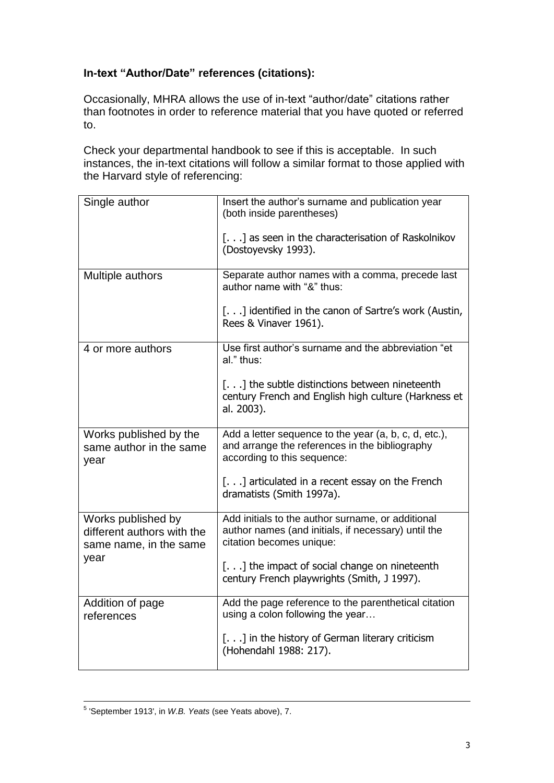# **In-text "Author/Date" references (citations):**

Occasionally, MHRA allows the use of in-text "author/date" citations rather than footnotes in order to reference material that you have quoted or referred to.

Check your departmental handbook to see if this is acceptable. In such instances, the in-text citations will follow a similar format to those applied with the Harvard style of referencing:

| Single author                                                              | Insert the author's surname and publication year<br>(both inside parentheses)                                                          |
|----------------------------------------------------------------------------|----------------------------------------------------------------------------------------------------------------------------------------|
|                                                                            | [] as seen in the characterisation of Raskolnikov<br>(Dostoyevsky 1993).                                                               |
| Multiple authors                                                           | Separate author names with a comma, precede last<br>author name with "&" thus:                                                         |
|                                                                            | [] identified in the canon of Sartre's work (Austin,<br>Rees & Vinaver 1961).                                                          |
| 4 or more authors                                                          | Use first author's surname and the abbreviation "et<br>al." thus:                                                                      |
|                                                                            | [] the subtle distinctions between nineteenth<br>century French and English high culture (Harkness et<br>al. 2003).                    |
| Works published by the<br>same author in the same<br>year                  | Add a letter sequence to the year (a, b, c, d, etc.),<br>and arrange the references in the bibliography<br>according to this sequence: |
|                                                                            | [] articulated in a recent essay on the French<br>dramatists (Smith 1997a).                                                            |
| Works published by<br>different authors with the<br>same name, in the same | Add initials to the author surname, or additional<br>author names (and initials, if necessary) until the<br>citation becomes unique:   |
| year                                                                       | [] the impact of social change on nineteenth<br>century French playwrights (Smith, J 1997).                                            |
| Addition of page<br>references                                             | Add the page reference to the parenthetical citation<br>using a colon following the year                                               |
|                                                                            | [] in the history of German literary criticism<br>(Hohendahl 1988: 217).                                                               |

 5 'September 1913', in *W.B. Yeats* (see Yeats above), 7.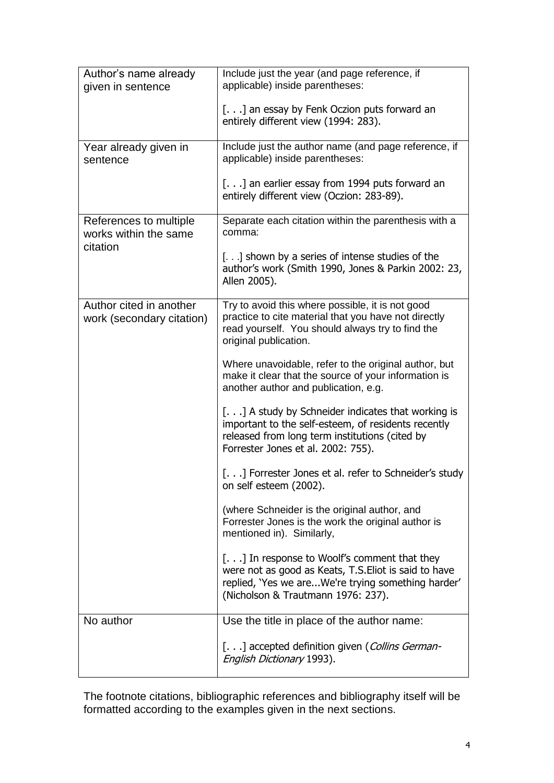| Author's name already<br>given in sentence                  | Include just the year (and page reference, if<br>applicable) inside parentheses:                                                                                                                 |
|-------------------------------------------------------------|--------------------------------------------------------------------------------------------------------------------------------------------------------------------------------------------------|
|                                                             | [] an essay by Fenk Oczion puts forward an<br>entirely different view (1994: 283).                                                                                                               |
| Year already given in<br>sentence                           | Include just the author name (and page reference, if<br>applicable) inside parentheses:                                                                                                          |
|                                                             | [] an earlier essay from 1994 puts forward an<br>entirely different view (Oczion: 283-89).                                                                                                       |
| References to multiple<br>works within the same<br>citation | Separate each citation within the parenthesis with a<br>comma:                                                                                                                                   |
|                                                             | [] shown by a series of intense studies of the<br>author's work (Smith 1990, Jones & Parkin 2002: 23,<br>Allen 2005).                                                                            |
| Author cited in another<br>work (secondary citation)        | Try to avoid this where possible, it is not good<br>practice to cite material that you have not directly<br>read yourself. You should always try to find the<br>original publication.            |
|                                                             | Where unavoidable, refer to the original author, but<br>make it clear that the source of your information is<br>another author and publication, e.g.                                             |
|                                                             | [] A study by Schneider indicates that working is<br>important to the self-esteem, of residents recently<br>released from long term institutions (cited by<br>Forrester Jones et al. 2002: 755). |
|                                                             | [] Forrester Jones et al. refer to Schneider's study<br>on self esteem (2002).                                                                                                                   |
|                                                             | (where Schneider is the original author, and<br>Forrester Jones is the work the original author is<br>mentioned in). Similarly,                                                                  |
|                                                             | [] In response to Woolf's comment that they<br>were not as good as Keats, T.S. Eliot is said to have<br>replied, 'Yes we areWe're trying something harder'<br>(Nicholson & Trautmann 1976: 237). |
| No author                                                   | Use the title in place of the author name:                                                                                                                                                       |
|                                                             | [] accepted definition given (Collins German-<br>English Dictionary 1993).                                                                                                                       |

The footnote citations, bibliographic references and bibliography itself will be formatted according to the examples given in the next sections.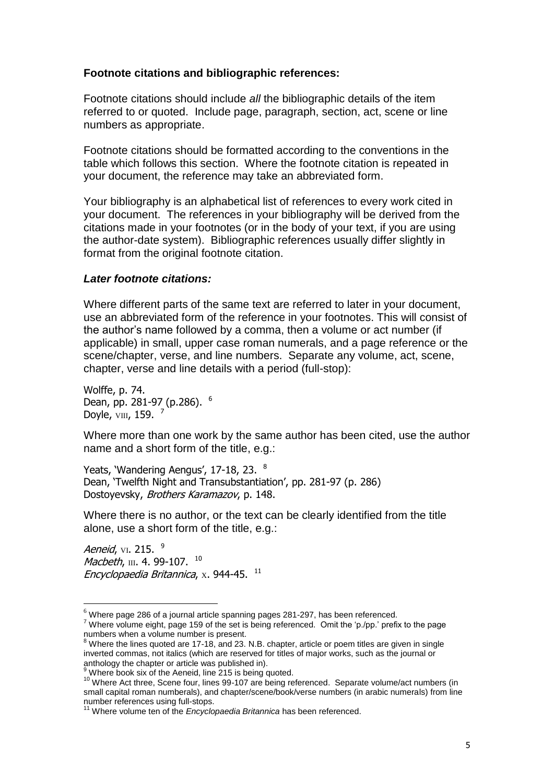## **Footnote citations and bibliographic references:**

Footnote citations should include *all* the bibliographic details of the item referred to or quoted. Include page, paragraph, section, act, scene or line numbers as appropriate.

Footnote citations should be formatted according to the conventions in the table which follows this section. Where the footnote citation is repeated in your document, the reference may take an abbreviated form.

Your bibliography is an alphabetical list of references to every work cited in your document. The references in your bibliography will be derived from the citations made in your footnotes (or in the body of your text, if you are using the author-date system). Bibliographic references usually differ slightly in format from the original footnote citation.

#### *Later footnote citations:*

Where different parts of the same text are referred to later in your document, use an abbreviated form of the reference in your footnotes. This will consist of the author"s name followed by a comma, then a volume or act number (if applicable) in small, upper case roman numerals, and a page reference or the scene/chapter, verse, and line numbers. Separate any volume, act, scene, chapter, verse and line details with a period (full-stop):

Wolffe, p. 74. Dean, pp. 281-97 (p.286). <sup>6</sup> Doyle,  $vm$ , 159.  $<sup>7</sup>$ </sup>

Where more than one work by the same author has been cited, use the author name and a short form of the title, e.g.:

Yeats, 'Wandering Aengus', 17-18, 23. 8 Dean, 'Twelfth Night and Transubstantiation', pp. 281-97 (p. 286) Dostoyevsky, Brothers Karamazov, p. 148.

Where there is no author, or the text can be clearly identified from the title alone, use a short form of the title, e.g.:

Aeneid, vi. 215. <sup>9</sup> Macbeth,  $\scriptstyle\rm III.$  4. 99-107.  $^{\,\rm 10}$ Encyclopaedia Britannica, x. 944-45.  $^{\,11}$ 

 $6$  Where page 286 of a journal article spanning pages 281-297, has been referenced.

<sup>&</sup>lt;sup>7</sup> Where volume eight, page 159 of the set is being referenced. Omit the 'p./pp.' prefix to the page numbers when a volume number is present.

<sup>&</sup>lt;sup>8</sup> Where the lines quoted are 17-18, and 23. N.B. chapter, article or poem titles are given in single inverted commas, not italics (which are reserved for titles of major works, such as the journal or anthology the chapter or article was published in).

<sup>&</sup>lt;sup>9</sup> Where book six of the Aeneid, line 215 is being quoted.

<sup>10</sup> Where Act three, Scene four, lines 99-107 are being referenced. Separate volume/act numbers (in small capital roman numberals), and chapter/scene/book/verse numbers (in arabic numerals) from line number references using full-stops.

<sup>&</sup>lt;sup>1</sup> Where volume ten of the *Encyclopaedia Britannica* has been referenced.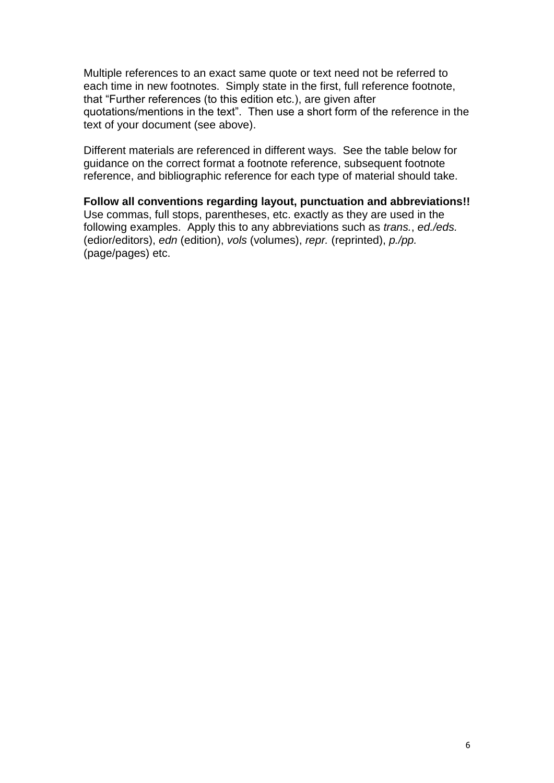Multiple references to an exact same quote or text need not be referred to each time in new footnotes. Simply state in the first, full reference footnote, that "Further references (to this edition etc.), are given after quotations/mentions in the text". Then use a short form of the reference in the text of your document (see above).

Different materials are referenced in different ways. See the table below for guidance on the correct format a footnote reference, subsequent footnote reference, and bibliographic reference for each type of material should take.

**Follow all conventions regarding layout, punctuation and abbreviations!!** Use commas, full stops, parentheses, etc. exactly as they are used in the following examples. Apply this to any abbreviations such as *trans.*, *ed./eds.* (edior/editors), *edn* (edition), *vols* (volumes), *repr.* (reprinted), *p./pp.* (page/pages) etc.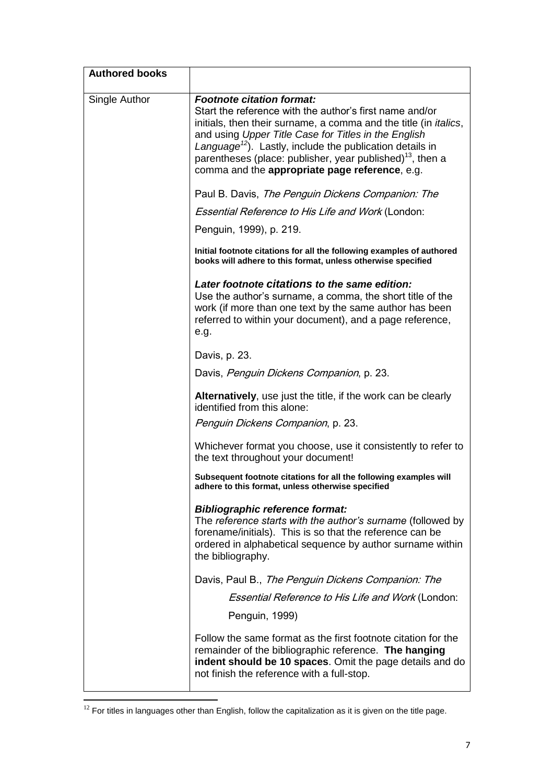| <b>Authored books</b> |                                                                                                                                                                                                                                                                                                                                                                                                                                    |
|-----------------------|------------------------------------------------------------------------------------------------------------------------------------------------------------------------------------------------------------------------------------------------------------------------------------------------------------------------------------------------------------------------------------------------------------------------------------|
| Single Author         | <b>Footnote citation format:</b><br>Start the reference with the author's first name and/or<br>initials, then their surname, a comma and the title (in <i>italics</i> ,<br>and using Upper Title Case for Titles in the English<br>Language <sup>12</sup> ). Lastly, include the publication details in<br>parentheses (place: publisher, year published) <sup>13</sup> , then a<br>comma and the appropriate page reference, e.g. |
|                       | Paul B. Davis, The Penguin Dickens Companion: The                                                                                                                                                                                                                                                                                                                                                                                  |
|                       | Essential Reference to His Life and Work (London:                                                                                                                                                                                                                                                                                                                                                                                  |
|                       | Penguin, 1999), p. 219.                                                                                                                                                                                                                                                                                                                                                                                                            |
|                       | Initial footnote citations for all the following examples of authored<br>books will adhere to this format, unless otherwise specified                                                                                                                                                                                                                                                                                              |
|                       | Later footnote citations to the same edition:<br>Use the author's surname, a comma, the short title of the<br>work (if more than one text by the same author has been<br>referred to within your document), and a page reference,<br>e.g.                                                                                                                                                                                          |
|                       | Davis, p. 23.                                                                                                                                                                                                                                                                                                                                                                                                                      |
|                       | Davis, Penguin Dickens Companion, p. 23.                                                                                                                                                                                                                                                                                                                                                                                           |
|                       | Alternatively, use just the title, if the work can be clearly<br>identified from this alone:<br>Penguin Dickens Companion, p. 23.                                                                                                                                                                                                                                                                                                  |
|                       | Whichever format you choose, use it consistently to refer to<br>the text throughout your document!                                                                                                                                                                                                                                                                                                                                 |
|                       | Subsequent footnote citations for all the following examples will<br>adhere to this format, unless otherwise specified                                                                                                                                                                                                                                                                                                             |
|                       | <b>Bibliographic reference format:</b><br>The reference starts with the author's surname (followed by<br>forename/initials). This is so that the reference can be<br>ordered in alphabetical sequence by author surname within<br>the bibliography.                                                                                                                                                                                |
|                       | Davis, Paul B., The Penguin Dickens Companion: The                                                                                                                                                                                                                                                                                                                                                                                 |
|                       | <b>Essential Reference to His Life and Work (London:</b>                                                                                                                                                                                                                                                                                                                                                                           |
|                       | Penguin, 1999)                                                                                                                                                                                                                                                                                                                                                                                                                     |
|                       | Follow the same format as the first footnote citation for the<br>remainder of the bibliographic reference. The hanging<br>indent should be 10 spaces. Omit the page details and do<br>not finish the reference with a full-stop.                                                                                                                                                                                                   |

 $12$  For titles in languages other than English, follow the capitalization as it is given on the title page.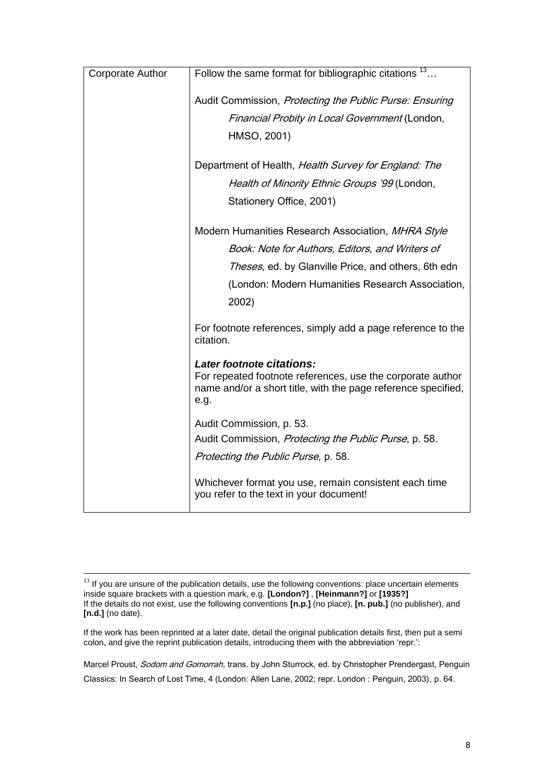|                         | Follow the same format for bibliographic citations $13$                  |
|-------------------------|--------------------------------------------------------------------------|
| <b>Corporate Author</b> |                                                                          |
|                         |                                                                          |
|                         | Audit Commission, Protecting the Public Purse: Ensuring                  |
|                         | Financial Probity in Local Government (London,                           |
|                         | HMSO, 2001)                                                              |
|                         |                                                                          |
|                         | Department of Health, Health Survey for England: The                     |
|                         | Health of Minority Ethnic Groups '99 (London,                            |
|                         | Stationery Office, 2001)                                                 |
|                         |                                                                          |
|                         | Modern Humanities Research Association, MHRA Style                       |
|                         | Book: Note for Authors, Editors, and Writers of                          |
|                         | Theses, ed. by Glanville Price, and others, 6th edn                      |
|                         | (London: Modern Humanities Research Association,                         |
|                         | 2002)                                                                    |
|                         |                                                                          |
|                         | For footnote references, simply add a page reference to the<br>citation. |
|                         | Later footnote citations:                                                |
|                         | For repeated footnote references, use the corporate author               |
|                         | name and/or a short title, with the page reference specified,            |
|                         | e.g.                                                                     |
|                         | Audit Commission, p. 53.                                                 |
|                         | Audit Commission, Protecting the Public Purse, p. 58.                    |
|                         |                                                                          |
|                         | Protecting the Public Purse, p. 58.                                      |
|                         | Whichever format you use, remain consistent each time                    |
|                         | you refer to the text in your document!                                  |
|                         |                                                                          |

1

Marcel Proust, Sodom and Gomorrah, trans. by John Sturrock, ed. by Christopher Prendergast, Penguin Classics: In Search of Lost Time, 4 (London: Allen Lane, 2002; repr. London : Penguin, 2003), p. 64.

 $13$  If you are unsure of the publication details, use the following conventions: place uncertain elements inside square brackets with a question mark, e.g. **[London?]** , **[Heinmann?]** or **[1935?]** If the details do not exist, use the following conventions **[n.p.]** (no place), **[n. pub.]** (no publisher), and **[n.d.]** (no date).

If the work has been reprinted at a later date, detail the original publication details first, then put a semi colon, and give the reprint publication details, introducing them with the abbreviation "repr.":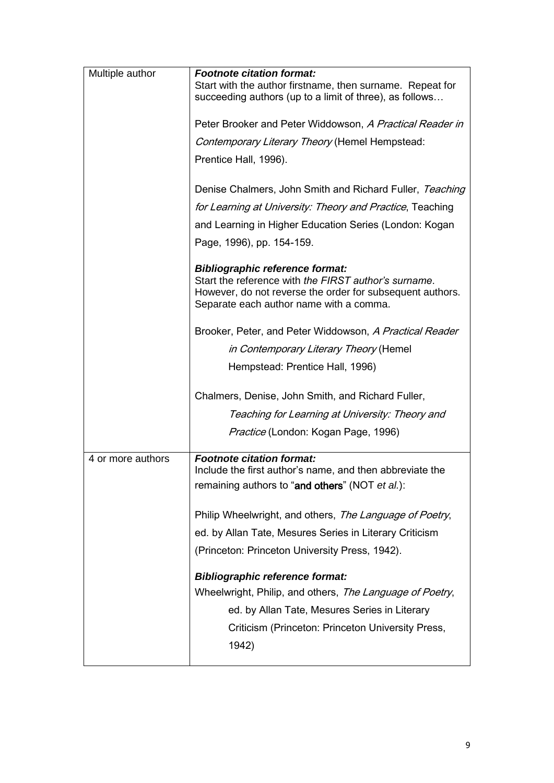| Multiple author   | <b>Footnote citation format:</b>                                                                                                                                                                                  |
|-------------------|-------------------------------------------------------------------------------------------------------------------------------------------------------------------------------------------------------------------|
|                   | Start with the author firstname, then surname. Repeat for<br>succeeding authors (up to a limit of three), as follows                                                                                              |
|                   | Peter Brooker and Peter Widdowson, A Practical Reader in                                                                                                                                                          |
|                   | Contemporary Literary Theory (Hemel Hempstead:                                                                                                                                                                    |
|                   | Prentice Hall, 1996).                                                                                                                                                                                             |
|                   | Denise Chalmers, John Smith and Richard Fuller, Teaching                                                                                                                                                          |
|                   | for Learning at University: Theory and Practice, Teaching                                                                                                                                                         |
|                   | and Learning in Higher Education Series (London: Kogan                                                                                                                                                            |
|                   | Page, 1996), pp. 154-159.                                                                                                                                                                                         |
|                   | <b>Bibliographic reference format:</b><br>Start the reference with the FIRST author's surname.<br>However, do not reverse the order for subsequent authors.<br>Separate each author name with a comma.            |
|                   | Brooker, Peter, and Peter Widdowson, A Practical Reader                                                                                                                                                           |
|                   | in Contemporary Literary Theory (Hemel                                                                                                                                                                            |
|                   | Hempstead: Prentice Hall, 1996)                                                                                                                                                                                   |
|                   | Chalmers, Denise, John Smith, and Richard Fuller,                                                                                                                                                                 |
|                   | Teaching for Learning at University: Theory and                                                                                                                                                                   |
|                   | <i>Practice</i> (London: Kogan Page, 1996)                                                                                                                                                                        |
| 4 or more authors | <b>Footnote citation format:</b><br>Include the first author's name, and then abbreviate the<br>remaining authors to "and others" (NOT et al.):                                                                   |
|                   | Philip Wheelwright, and others, The Language of Poetry,                                                                                                                                                           |
|                   | ed. by Allan Tate, Mesures Series in Literary Criticism                                                                                                                                                           |
|                   | (Princeton: Princeton University Press, 1942).                                                                                                                                                                    |
|                   | <b>Bibliographic reference format:</b><br>Wheelwright, Philip, and others, The Language of Poetry,<br>ed. by Allan Tate, Mesures Series in Literary<br>Criticism (Princeton: Princeton University Press,<br>1942) |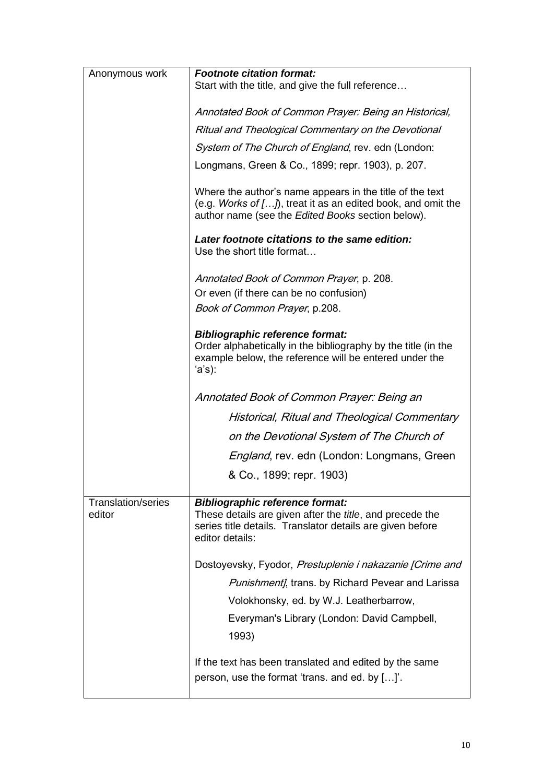| Anonymous work                      | <b>Footnote citation format:</b>                                                                                                                                                           |
|-------------------------------------|--------------------------------------------------------------------------------------------------------------------------------------------------------------------------------------------|
|                                     | Start with the title, and give the full reference                                                                                                                                          |
|                                     | Annotated Book of Common Prayer: Being an Historical,                                                                                                                                      |
|                                     | Ritual and Theological Commentary on the Devotional                                                                                                                                        |
|                                     | System of The Church of England, rev. edn (London:                                                                                                                                         |
|                                     | Longmans, Green & Co., 1899; repr. 1903), p. 207.                                                                                                                                          |
|                                     | Where the author's name appears in the title of the text<br>(e.g. Works of $[]$ , treat it as an edited book, and omit the<br>author name (see the Edited Books section below).            |
|                                     | Later footnote citations to the same edition:<br>Use the short title format                                                                                                                |
|                                     | Annotated Book of Common Prayer, p. 208.                                                                                                                                                   |
|                                     | Or even (if there can be no confusion)                                                                                                                                                     |
|                                     | <i>Book of Common Prayer</i> , p.208.                                                                                                                                                      |
|                                     | <b>Bibliographic reference format:</b><br>Order alphabetically in the bibliography by the title (in the<br>example below, the reference will be entered under the<br>'a's):                |
|                                     | Annotated Book of Common Prayer: Being an                                                                                                                                                  |
|                                     | Historical, Ritual and Theological Commentary                                                                                                                                              |
|                                     | on the Devotional System of The Church of                                                                                                                                                  |
|                                     | England, rev. edn (London: Longmans, Green                                                                                                                                                 |
|                                     | & Co., 1899; repr. 1903)                                                                                                                                                                   |
| <b>Translation/series</b><br>editor | <b>Bibliographic reference format:</b><br>These details are given after the <i>title</i> , and precede the<br>series title details. Translator details are given before<br>editor details: |
|                                     | Dostoyevsky, Fyodor, Prestuplenie i nakazanie [Crime and                                                                                                                                   |
|                                     | Punishment], trans. by Richard Pevear and Larissa                                                                                                                                          |
|                                     | Volokhonsky, ed. by W.J. Leatherbarrow,                                                                                                                                                    |
|                                     | Everyman's Library (London: David Campbell,                                                                                                                                                |
|                                     | 1993)                                                                                                                                                                                      |
|                                     | If the text has been translated and edited by the same<br>person, use the format 'trans. and ed. by []'.                                                                                   |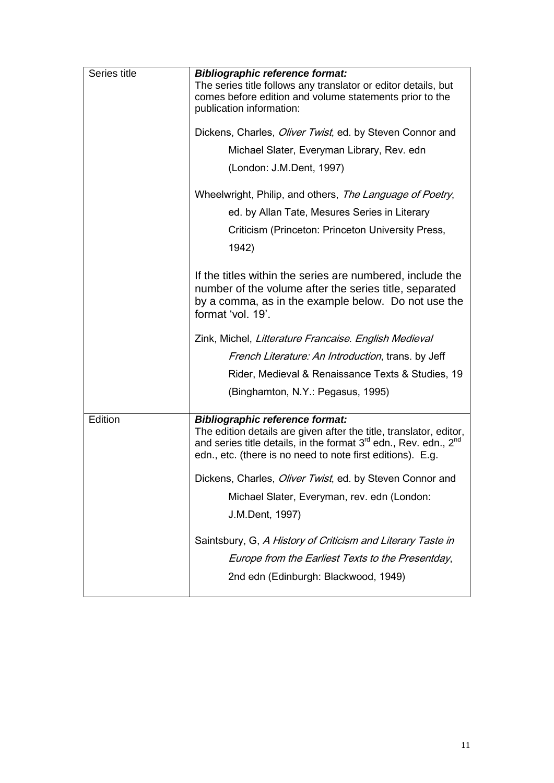| Series title | <b>Bibliographic reference format:</b>                                                                                                                                                                                                                                 |
|--------------|------------------------------------------------------------------------------------------------------------------------------------------------------------------------------------------------------------------------------------------------------------------------|
|              | The series title follows any translator or editor details, but<br>comes before edition and volume statements prior to the<br>publication information:                                                                                                                  |
|              | Dickens, Charles, <i>Oliver Twist</i> , ed. by Steven Connor and                                                                                                                                                                                                       |
|              | Michael Slater, Everyman Library, Rev. edn                                                                                                                                                                                                                             |
|              | (London: J.M.Dent, 1997)                                                                                                                                                                                                                                               |
|              |                                                                                                                                                                                                                                                                        |
|              | Wheelwright, Philip, and others, The Language of Poetry,                                                                                                                                                                                                               |
|              | ed. by Allan Tate, Mesures Series in Literary                                                                                                                                                                                                                          |
|              | Criticism (Princeton: Princeton University Press,                                                                                                                                                                                                                      |
|              | 1942)                                                                                                                                                                                                                                                                  |
|              | If the titles within the series are numbered, include the<br>number of the volume after the series title, separated<br>by a comma, as in the example below. Do not use the<br>format 'vol. 19'.                                                                        |
|              | Zink, Michel, Litterature Francaise. English Medieval                                                                                                                                                                                                                  |
|              | French Literature: An Introduction, trans. by Jeff                                                                                                                                                                                                                     |
|              | Rider, Medieval & Renaissance Texts & Studies, 19                                                                                                                                                                                                                      |
|              | (Binghamton, N.Y.: Pegasus, 1995)                                                                                                                                                                                                                                      |
| Edition      | <b>Bibliographic reference format:</b><br>The edition details are given after the title, translator, editor,<br>and series title details, in the format 3 <sup>rd</sup> edn., Rev. edn., 2 <sup>nd</sup><br>edn., etc. (there is no need to note first editions). E.g. |
|              | Dickens, Charles, Oliver Twist, ed. by Steven Connor and                                                                                                                                                                                                               |
|              | Michael Slater, Everyman, rev. edn (London:                                                                                                                                                                                                                            |
|              | J.M.Dent, 1997)                                                                                                                                                                                                                                                        |
|              | Saintsbury, G, A History of Criticism and Literary Taste in<br>Europe from the Earliest Texts to the Presentday,<br>2nd edn (Edinburgh: Blackwood, 1949)                                                                                                               |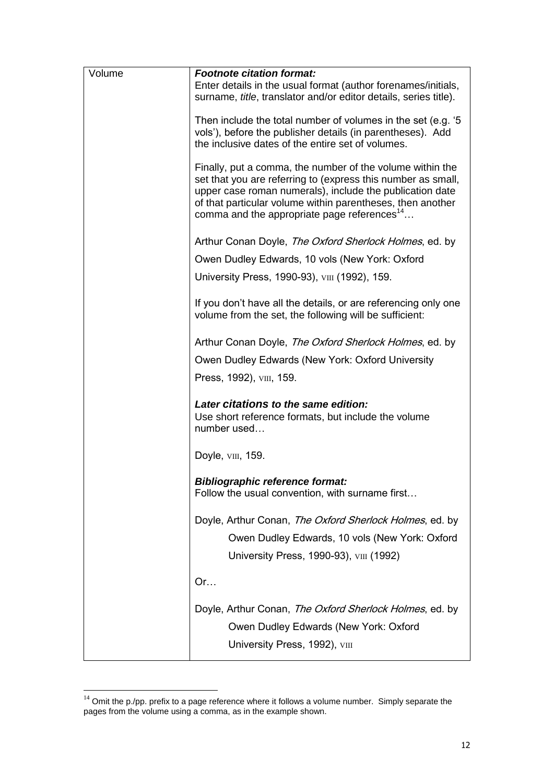| Volume | <b>Footnote citation format:</b>                                                                                                                                                                                                                                                                               |
|--------|----------------------------------------------------------------------------------------------------------------------------------------------------------------------------------------------------------------------------------------------------------------------------------------------------------------|
|        | Enter details in the usual format (author forenames/initials,<br>surname, title, translator and/or editor details, series title).                                                                                                                                                                              |
|        | Then include the total number of volumes in the set (e.g. '5<br>vols'), before the publisher details (in parentheses). Add<br>the inclusive dates of the entire set of volumes.                                                                                                                                |
|        | Finally, put a comma, the number of the volume within the<br>set that you are referring to (express this number as small,<br>upper case roman numerals), include the publication date<br>of that particular volume within parentheses, then another<br>comma and the appropriate page references <sup>14</sup> |
|        | Arthur Conan Doyle, The Oxford Sherlock Holmes, ed. by                                                                                                                                                                                                                                                         |
|        | Owen Dudley Edwards, 10 vols (New York: Oxford                                                                                                                                                                                                                                                                 |
|        | University Press, 1990-93), VIII (1992), 159.                                                                                                                                                                                                                                                                  |
|        | If you don't have all the details, or are referencing only one<br>volume from the set, the following will be sufficient:                                                                                                                                                                                       |
|        | Arthur Conan Doyle, The Oxford Sherlock Holmes, ed. by                                                                                                                                                                                                                                                         |
|        | Owen Dudley Edwards (New York: Oxford University                                                                                                                                                                                                                                                               |
|        | Press, 1992), vm, 159.                                                                                                                                                                                                                                                                                         |
|        | Later citations to the same edition:<br>Use short reference formats, but include the volume<br>number used                                                                                                                                                                                                     |
|        | Doyle, vm, 159.                                                                                                                                                                                                                                                                                                |
|        | <b>Bibliographic reference format:</b><br>Follow the usual convention, with surname first                                                                                                                                                                                                                      |
|        | Doyle, Arthur Conan, The Oxford Sherlock Holmes, ed. by                                                                                                                                                                                                                                                        |
|        | Owen Dudley Edwards, 10 vols (New York: Oxford                                                                                                                                                                                                                                                                 |
|        | University Press, 1990-93), VIII (1992)                                                                                                                                                                                                                                                                        |
|        | Or                                                                                                                                                                                                                                                                                                             |
|        | Doyle, Arthur Conan, The Oxford Sherlock Holmes, ed. by                                                                                                                                                                                                                                                        |
|        | Owen Dudley Edwards (New York: Oxford<br>University Press, 1992), viii                                                                                                                                                                                                                                         |
|        |                                                                                                                                                                                                                                                                                                                |

 $14$  Omit the p./pp. prefix to a page reference where it follows a volume number. Simply separate the pages from the volume using a comma, as in the example shown.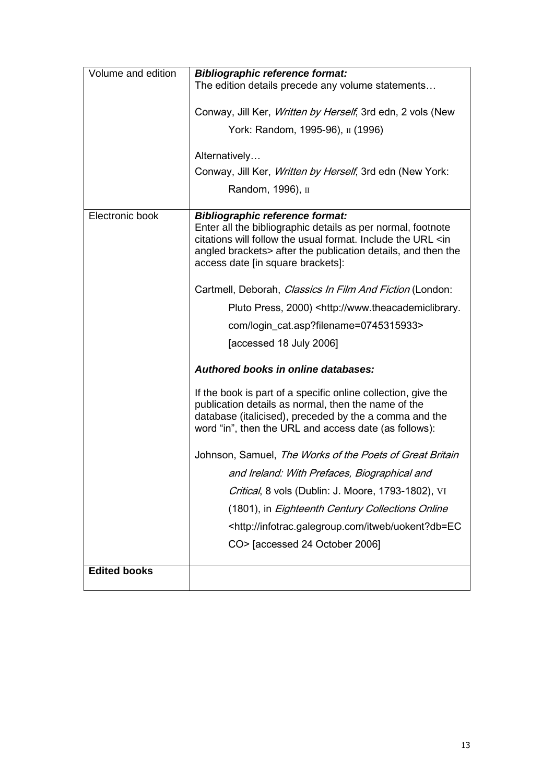| Volume and edition  | <b>Bibliographic reference format:</b>                                                                                                                                                                                                                                                |
|---------------------|---------------------------------------------------------------------------------------------------------------------------------------------------------------------------------------------------------------------------------------------------------------------------------------|
|                     | The edition details precede any volume statements                                                                                                                                                                                                                                     |
|                     | Conway, Jill Ker, <i>Written by Herself</i> , 3rd edn, 2 vols (New                                                                                                                                                                                                                    |
|                     | York: Random, 1995-96), II (1996)                                                                                                                                                                                                                                                     |
|                     | Alternatively                                                                                                                                                                                                                                                                         |
|                     | Conway, Jill Ker, Written by Herself, 3rd edn (New York:                                                                                                                                                                                                                              |
|                     | Random, 1996), II                                                                                                                                                                                                                                                                     |
|                     |                                                                                                                                                                                                                                                                                       |
| Electronic book     | <b>Bibliographic reference format:</b><br>Enter all the bibliographic details as per normal, footnote<br>citations will follow the usual format. Include the URL <in<br>angled brackets&gt; after the publication details, and then the<br/>access date [in square brackets]:</in<br> |
|                     | Cartmell, Deborah, Classics In Film And Fiction (London:                                                                                                                                                                                                                              |
|                     | Pluto Press, 2000) <http: th="" www.theacademiclibrary.<=""></http:>                                                                                                                                                                                                                  |
|                     | com/login_cat.asp?filename=0745315933>                                                                                                                                                                                                                                                |
|                     | [accessed 18 July 2006]                                                                                                                                                                                                                                                               |
|                     | Authored books in online databases:                                                                                                                                                                                                                                                   |
|                     | If the book is part of a specific online collection, give the<br>publication details as normal, then the name of the<br>database (italicised), preceded by the a comma and the<br>word "in", then the URL and access date (as follows):                                               |
|                     | Johnson, Samuel, The Works of the Poets of Great Britain                                                                                                                                                                                                                              |
|                     | and Ireland: With Prefaces, Biographical and                                                                                                                                                                                                                                          |
|                     | Critical, 8 vols (Dublin: J. Moore, 1793-1802), VI                                                                                                                                                                                                                                    |
|                     | (1801), in Eighteenth Century Collections Online                                                                                                                                                                                                                                      |
|                     | <http: infotrac.galegroup.com="" itweb="" uokent?db="EC&lt;/th"></http:>                                                                                                                                                                                                              |
|                     | CO> [accessed 24 October 2006]                                                                                                                                                                                                                                                        |
| <b>Edited books</b> |                                                                                                                                                                                                                                                                                       |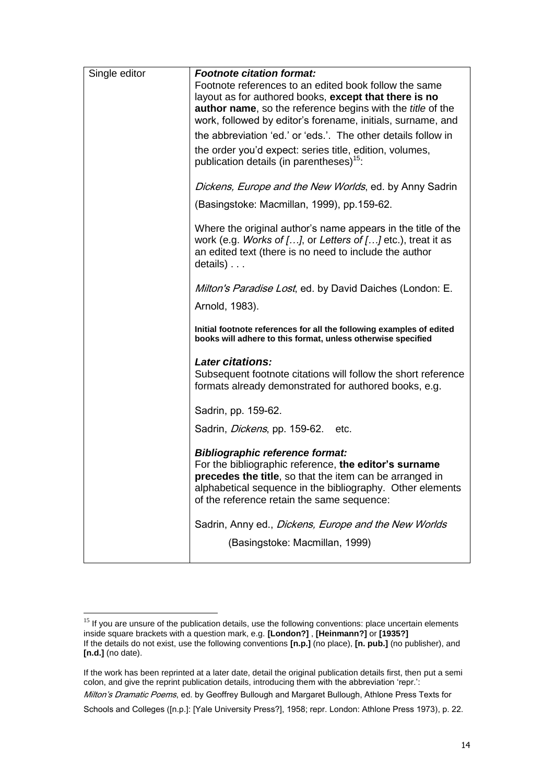| Single editor | <b>Footnote citation format:</b>                                                                                                                                                                                                                                      |
|---------------|-----------------------------------------------------------------------------------------------------------------------------------------------------------------------------------------------------------------------------------------------------------------------|
|               | Footnote references to an edited book follow the same                                                                                                                                                                                                                 |
|               | layout as for authored books, except that there is no                                                                                                                                                                                                                 |
|               | author name, so the reference begins with the title of the<br>work, followed by editor's forename, initials, surname, and                                                                                                                                             |
|               | the abbreviation 'ed.' or 'eds.'. The other details follow in                                                                                                                                                                                                         |
|               |                                                                                                                                                                                                                                                                       |
|               | the order you'd expect: series title, edition, volumes,<br>publication details (in parentheses) <sup>15</sup> :                                                                                                                                                       |
|               | Dickens, Europe and the New Worlds, ed. by Anny Sadrin                                                                                                                                                                                                                |
|               | (Basingstoke: Macmillan, 1999), pp.159-62.                                                                                                                                                                                                                            |
|               | Where the original author's name appears in the title of the<br>work (e.g. Works of $[]$ , or Letters of $[]$ etc.), treat it as<br>an edited text (there is no need to include the author<br>$details)$                                                              |
|               | <i>Milton's Paradise Lost</i> , ed. by David Daiches (London: E.                                                                                                                                                                                                      |
|               | Arnold, 1983).                                                                                                                                                                                                                                                        |
|               | Initial footnote references for all the following examples of edited<br>books will adhere to this format, unless otherwise specified                                                                                                                                  |
|               | <b>Later citations:</b>                                                                                                                                                                                                                                               |
|               | Subsequent footnote citations will follow the short reference<br>formats already demonstrated for authored books, e.g.                                                                                                                                                |
|               | Sadrin, pp. 159-62.                                                                                                                                                                                                                                                   |
|               | Sadrin, <i>Dickens</i> , pp. 159-62. etc.                                                                                                                                                                                                                             |
|               | <b>Bibliographic reference format:</b><br>For the bibliographic reference, the editor's surname<br>precedes the title, so that the item can be arranged in<br>alphabetical sequence in the bibliography. Other elements<br>of the reference retain the same sequence: |
|               | Sadrin, Anny ed., Dickens, Europe and the New Worlds<br>(Basingstoke: Macmillan, 1999)                                                                                                                                                                                |

 $15$  If you are unsure of the publication details, use the following conventions: place uncertain elements inside square brackets with a question mark, e.g. **[London?]** , **[Heinmann?]** or **[1935?]** If the details do not exist, use the following conventions **[n.p.]** (no place), **[n. pub.]** (no publisher), and **[n.d.]** (no date).

If the work has been reprinted at a later date, detail the original publication details first, then put a semi colon, and give the reprint publication details, introducing them with the abbreviation 'repr.': Milton's Dramatic Poems, ed. by Geoffrey Bullough and Margaret Bullough, Athlone Press Texts for Schools and Colleges ([n.p.]: [Yale University Press?], 1958; repr. London: Athlone Press 1973), p. 22.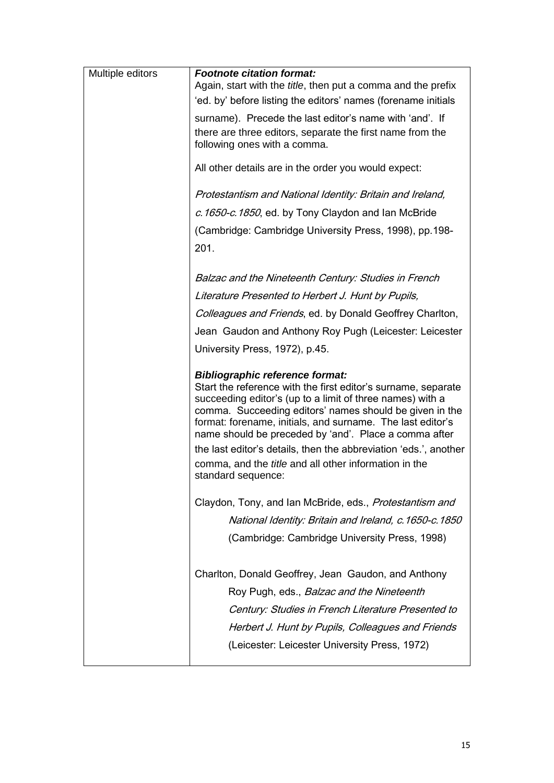| Multiple editors | <b>Footnote citation format:</b><br>Again, start with the title, then put a comma and the prefix<br>'ed. by' before listing the editors' names (forename initials                                                                                                                                                                                                                                                                                                                          |
|------------------|--------------------------------------------------------------------------------------------------------------------------------------------------------------------------------------------------------------------------------------------------------------------------------------------------------------------------------------------------------------------------------------------------------------------------------------------------------------------------------------------|
|                  | surname). Precede the last editor's name with 'and'. If<br>there are three editors, separate the first name from the<br>following ones with a comma.                                                                                                                                                                                                                                                                                                                                       |
|                  | All other details are in the order you would expect:                                                                                                                                                                                                                                                                                                                                                                                                                                       |
|                  | Protestantism and National Identity: Britain and Ireland,                                                                                                                                                                                                                                                                                                                                                                                                                                  |
|                  | c. 1650-c. 1850, ed. by Tony Claydon and Ian McBride                                                                                                                                                                                                                                                                                                                                                                                                                                       |
|                  | (Cambridge: Cambridge University Press, 1998), pp.198-<br>201.                                                                                                                                                                                                                                                                                                                                                                                                                             |
|                  |                                                                                                                                                                                                                                                                                                                                                                                                                                                                                            |
|                  | Balzac and the Nineteenth Century: Studies in French                                                                                                                                                                                                                                                                                                                                                                                                                                       |
|                  | Literature Presented to Herbert J. Hunt by Pupils,                                                                                                                                                                                                                                                                                                                                                                                                                                         |
|                  | Colleagues and Friends, ed. by Donald Geoffrey Charlton,                                                                                                                                                                                                                                                                                                                                                                                                                                   |
|                  | Jean Gaudon and Anthony Roy Pugh (Leicester: Leicester                                                                                                                                                                                                                                                                                                                                                                                                                                     |
|                  | University Press, 1972), p.45.                                                                                                                                                                                                                                                                                                                                                                                                                                                             |
|                  | <b>Bibliographic reference format:</b><br>Start the reference with the first editor's surname, separate<br>succeeding editor's (up to a limit of three names) with a<br>comma. Succeeding editors' names should be given in the<br>format: forename, initials, and surname. The last editor's<br>name should be preceded by 'and'. Place a comma after<br>the last editor's details, then the abbreviation 'eds.', another<br>comma, and the <i>title</i> and all other information in the |
|                  | standard sequence:                                                                                                                                                                                                                                                                                                                                                                                                                                                                         |
|                  | Claydon, Tony, and Ian McBride, eds., Protestantism and                                                                                                                                                                                                                                                                                                                                                                                                                                    |
|                  | National Identity: Britain and Ireland, c. 1650-c. 1850                                                                                                                                                                                                                                                                                                                                                                                                                                    |
|                  |                                                                                                                                                                                                                                                                                                                                                                                                                                                                                            |
|                  | (Cambridge: Cambridge University Press, 1998)                                                                                                                                                                                                                                                                                                                                                                                                                                              |
|                  | Charlton, Donald Geoffrey, Jean Gaudon, and Anthony<br>Roy Pugh, eds., <i>Balzac and the Nineteenth</i><br>Century: Studies in French Literature Presented to<br>Herbert J. Hunt by Pupils, Colleagues and Friends<br>(Leicester: Leicester University Press, 1972)                                                                                                                                                                                                                        |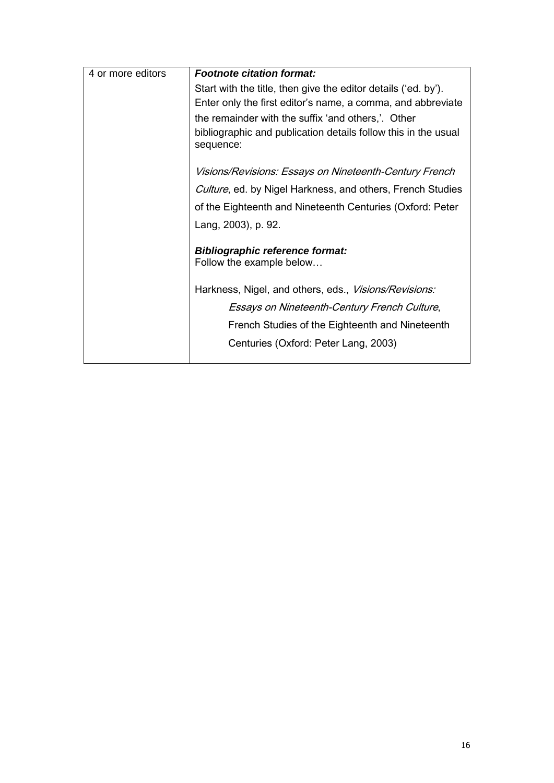| <b>Footnote citation format:</b>                                            |
|-----------------------------------------------------------------------------|
| Start with the title, then give the editor details ('ed. by').              |
| Enter only the first editor's name, a comma, and abbreviate                 |
| the remainder with the suffix 'and others,'. Other                          |
| bibliographic and publication details follow this in the usual<br>sequence: |
| Visions/Revisions: Essays on Nineteenth-Century French                      |
| Culture, ed. by Nigel Harkness, and others, French Studies                  |
| of the Eighteenth and Nineteenth Centuries (Oxford: Peter                   |
| Lang, 2003), p. 92.                                                         |
| <b>Bibliographic reference format:</b>                                      |
| Follow the example below                                                    |
| Harkness, Nigel, and others, eds., Visions/Revisions:                       |
| Essays on Nineteenth-Century French Culture,                                |
| French Studies of the Eighteenth and Nineteenth                             |
| Centuries (Oxford: Peter Lang, 2003)                                        |
|                                                                             |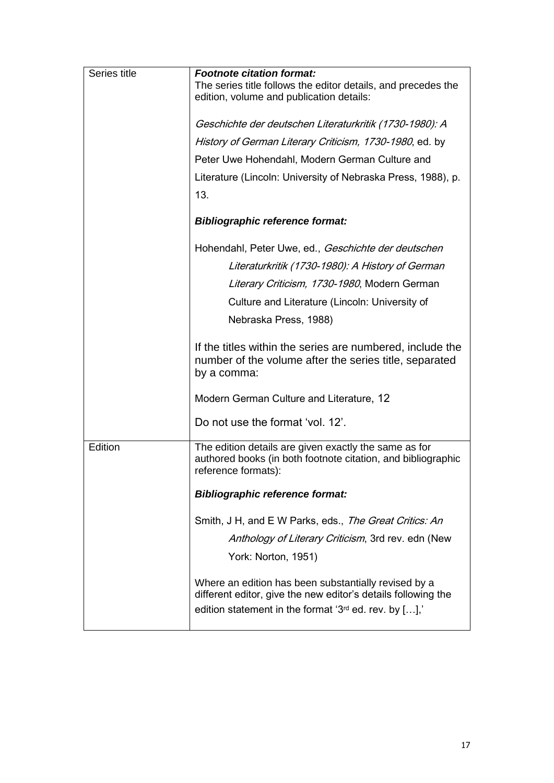| Series title | <b>Footnote citation format:</b>                                                                                                                                                     |
|--------------|--------------------------------------------------------------------------------------------------------------------------------------------------------------------------------------|
|              | The series title follows the editor details, and precedes the<br>edition, volume and publication details:                                                                            |
|              |                                                                                                                                                                                      |
|              | Geschichte der deutschen Literaturkritik (1730-1980): A                                                                                                                              |
|              | History of German Literary Criticism, 1730-1980, ed. by                                                                                                                              |
|              | Peter Uwe Hohendahl, Modern German Culture and                                                                                                                                       |
|              | Literature (Lincoln: University of Nebraska Press, 1988), p.                                                                                                                         |
|              | 13.                                                                                                                                                                                  |
|              | <b>Bibliographic reference format:</b>                                                                                                                                               |
|              | Hohendahl, Peter Uwe, ed., Geschichte der deutschen                                                                                                                                  |
|              | Literaturkritik (1730-1980): A History of German                                                                                                                                     |
|              | Literary Criticism, 1730-1980, Modern German                                                                                                                                         |
|              | Culture and Literature (Lincoln: University of                                                                                                                                       |
|              | Nebraska Press, 1988)                                                                                                                                                                |
|              | If the titles within the series are numbered, include the<br>number of the volume after the series title, separated<br>by a comma:                                                   |
|              | Modern German Culture and Literature, 12                                                                                                                                             |
|              | Do not use the format 'vol. 12'.                                                                                                                                                     |
| Edition      | The edition details are given exactly the same as for<br>authored books (in both footnote citation, and bibliographic<br>reference formats):                                         |
|              | <b>Bibliographic reference format:</b>                                                                                                                                               |
|              | Smith, J H, and E W Parks, eds., The Great Critics: An                                                                                                                               |
|              | Anthology of Literary Criticism, 3rd rev. edn (New                                                                                                                                   |
|              | York: Norton, 1951)                                                                                                                                                                  |
|              | Where an edition has been substantially revised by a<br>different editor, give the new editor's details following the<br>edition statement in the format ' $3^{rd}$ ed. rev. by [],' |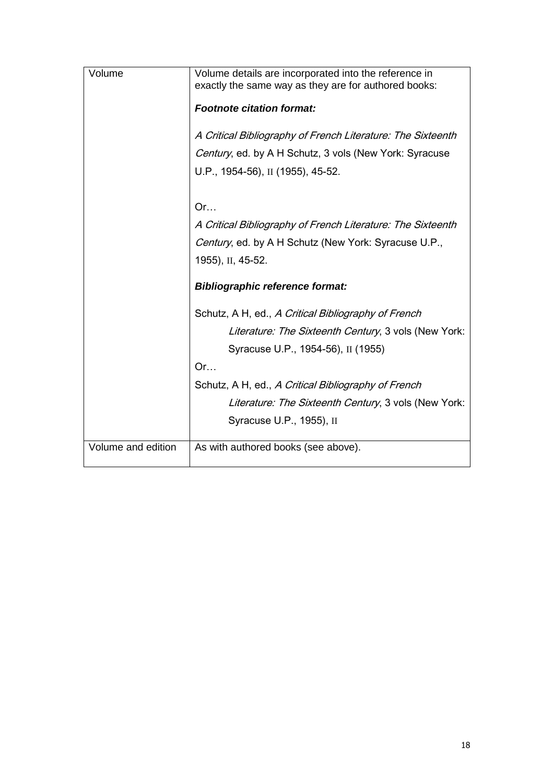| Volume             | Volume details are incorporated into the reference in       |
|--------------------|-------------------------------------------------------------|
|                    | exactly the same way as they are for authored books:        |
|                    | <b>Footnote citation format:</b>                            |
|                    | A Critical Bibliography of French Literature: The Sixteenth |
|                    | Century, ed. by A H Schutz, 3 vols (New York: Syracuse      |
|                    | U.P., 1954-56), II (1955), 45-52.                           |
|                    |                                                             |
|                    | Or                                                          |
|                    | A Critical Bibliography of French Literature: The Sixteenth |
|                    | Century, ed. by A H Schutz (New York: Syracuse U.P.,        |
|                    | 1955), II, 45-52.                                           |
|                    | <b>Bibliographic reference format:</b>                      |
|                    | Schutz, A H, ed., A Critical Bibliography of French         |
|                    | Literature: The Sixteenth Century, 3 vols (New York:        |
|                    | Syracuse U.P., 1954-56), II (1955)                          |
|                    | Or                                                          |
|                    | Schutz, A H, ed., A Critical Bibliography of French         |
|                    | Literature: The Sixteenth Century, 3 vols (New York:        |
|                    | Syracuse U.P., 1955), II                                    |
| Volume and edition | As with authored books (see above).                         |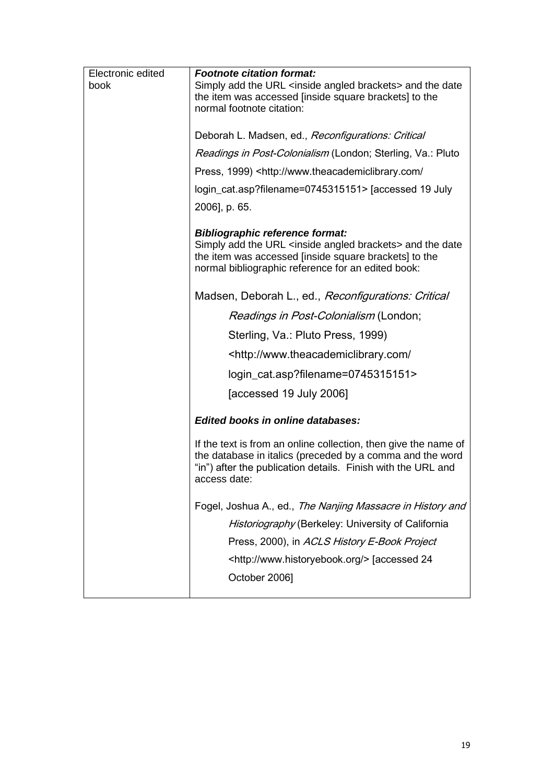| Electronic edited | <b>Footnote citation format:</b>                                                                                                                                                                             |
|-------------------|--------------------------------------------------------------------------------------------------------------------------------------------------------------------------------------------------------------|
| book              | Simply add the URL <inside angled="" brackets=""> and the date<br/>the item was accessed [inside square brackets] to the</inside>                                                                            |
|                   | normal footnote citation:                                                                                                                                                                                    |
|                   | Deborah L. Madsen, ed., Reconfigurations: Critical                                                                                                                                                           |
|                   | <i>Readings in Post-Colonialism</i> (London; Sterling, Va.: Pluto                                                                                                                                            |
|                   | Press, 1999) <http: <="" td="" www.theacademiclibrary.com=""></http:>                                                                                                                                        |
|                   | login_cat.asp?filename=0745315151> [accessed 19 July                                                                                                                                                         |
|                   | 2006], p. 65.                                                                                                                                                                                                |
|                   | <b>Bibliographic reference format:</b>                                                                                                                                                                       |
|                   | Simply add the URL <inside angled="" brackets=""> and the date<br/>the item was accessed [inside square brackets] to the<br/>normal bibliographic reference for an edited book:</inside>                     |
|                   | Madsen, Deborah L., ed., Reconfigurations: Critical                                                                                                                                                          |
|                   | <i>Readings in Post-Colonialism</i> (London;                                                                                                                                                                 |
|                   | Sterling, Va.: Pluto Press, 1999)                                                                                                                                                                            |
|                   | <http: <="" td="" www.theacademiclibrary.com=""></http:>                                                                                                                                                     |
|                   | login_cat.asp?filename=0745315151>                                                                                                                                                                           |
|                   | [accessed 19 July 2006]                                                                                                                                                                                      |
|                   | <b>Edited books in online databases:</b>                                                                                                                                                                     |
|                   | If the text is from an online collection, then give the name of<br>the database in italics (preceded by a comma and the word<br>"in") after the publication details. Finish with the URL and<br>access date: |
|                   | Fogel, Joshua A., ed., The Nanjing Massacre in History and                                                                                                                                                   |
|                   | Historiography (Berkeley: University of California                                                                                                                                                           |
|                   | Press, 2000), in ACLS History E-Book Project                                                                                                                                                                 |
|                   | <http: www.historyebook.org=""></http:> [accessed 24                                                                                                                                                         |
|                   | October 2006]                                                                                                                                                                                                |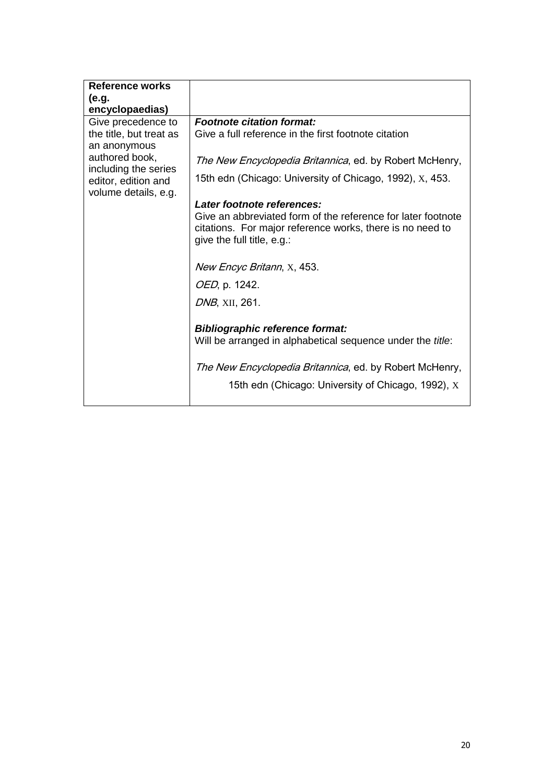| <b>Reference works</b>  |                                                                    |
|-------------------------|--------------------------------------------------------------------|
| (e.g.                   |                                                                    |
| encyclopaedias)         |                                                                    |
| Give precedence to      | <b>Footnote citation format:</b>                                   |
| the title, but treat as | Give a full reference in the first footnote citation               |
| an anonymous            |                                                                    |
| authored book,          | <i>The New Encyclopedia Britannica</i> , ed. by Robert McHenry,    |
| including the series    |                                                                    |
| editor, edition and     | 15th edn (Chicago: University of Chicago, 1992), X, 453.           |
| volume details, e.g.    |                                                                    |
|                         | Later footnote references:                                         |
|                         | Give an abbreviated form of the reference for later footnote       |
|                         | citations. For major reference works, there is no need to          |
|                         | give the full title, e.g.:                                         |
|                         |                                                                    |
|                         | New Encyc Britann, X, 453.                                         |
|                         | OED, p. 1242.                                                      |
|                         |                                                                    |
|                         | <i>DNB</i> , XII, 261.                                             |
|                         |                                                                    |
|                         | <b>Bibliographic reference format:</b>                             |
|                         | Will be arranged in alphabetical sequence under the <i>title</i> : |
|                         |                                                                    |
|                         | <i>The New Encyclopedia Britannica</i> , ed. by Robert McHenry,    |
|                         |                                                                    |
|                         | 15th edn (Chicago: University of Chicago, 1992), X                 |
|                         |                                                                    |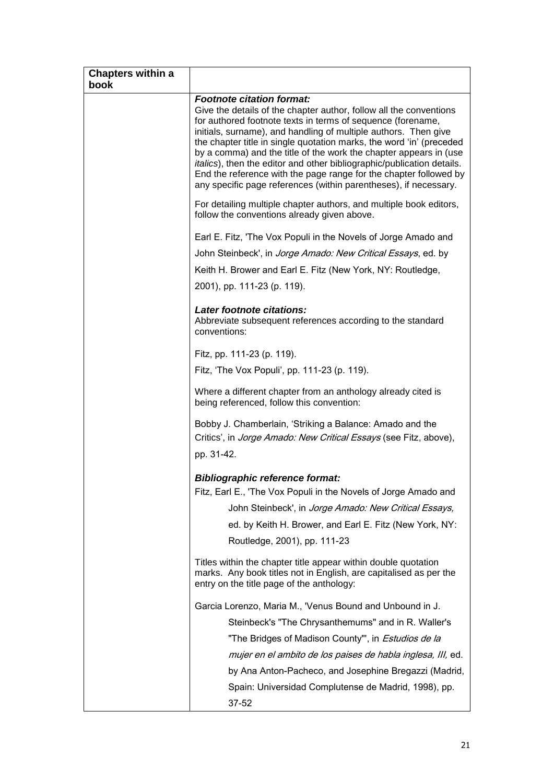| <b>Footnote citation format:</b><br>Give the details of the chapter author, follow all the conventions<br>for authored footnote texts in terms of sequence (forename,<br>initials, surname), and handling of multiple authors. Then give<br>the chapter title in single quotation marks, the word 'in' (preceded<br>by a comma) and the title of the work the chapter appears in (use<br>italics), then the editor and other bibliographic/publication details.<br>End the reference with the page range for the chapter followed by<br>any specific page references (within parentheses), if necessary. |
|----------------------------------------------------------------------------------------------------------------------------------------------------------------------------------------------------------------------------------------------------------------------------------------------------------------------------------------------------------------------------------------------------------------------------------------------------------------------------------------------------------------------------------------------------------------------------------------------------------|
| For detailing multiple chapter authors, and multiple book editors,<br>follow the conventions already given above.                                                                                                                                                                                                                                                                                                                                                                                                                                                                                        |
| Earl E. Fitz, 'The Vox Populi in the Novels of Jorge Amado and                                                                                                                                                                                                                                                                                                                                                                                                                                                                                                                                           |
| John Steinbeck', in <i>Jorge Amado: New Critical Essays</i> , ed. by                                                                                                                                                                                                                                                                                                                                                                                                                                                                                                                                     |
| Keith H. Brower and Earl E. Fitz (New York, NY: Routledge,                                                                                                                                                                                                                                                                                                                                                                                                                                                                                                                                               |
| 2001), pp. 111-23 (p. 119).                                                                                                                                                                                                                                                                                                                                                                                                                                                                                                                                                                              |
| Later footnote citations:<br>Abbreviate subsequent references according to the standard<br>conventions:                                                                                                                                                                                                                                                                                                                                                                                                                                                                                                  |
| Fitz, pp. 111-23 (p. 119).                                                                                                                                                                                                                                                                                                                                                                                                                                                                                                                                                                               |
| Fitz, 'The Vox Populi', pp. 111-23 (p. 119).                                                                                                                                                                                                                                                                                                                                                                                                                                                                                                                                                             |
| Where a different chapter from an anthology already cited is<br>being referenced, follow this convention:                                                                                                                                                                                                                                                                                                                                                                                                                                                                                                |
| Bobby J. Chamberlain, 'Striking a Balance: Amado and the<br>Critics', in <i>Jorge Amado: New Critical Essays</i> (see Fitz, above),<br>pp. 31-42.                                                                                                                                                                                                                                                                                                                                                                                                                                                        |
| <b>Bibliographic reference format:</b>                                                                                                                                                                                                                                                                                                                                                                                                                                                                                                                                                                   |
| Fitz, Earl E., 'The Vox Populi in the Novels of Jorge Amado and                                                                                                                                                                                                                                                                                                                                                                                                                                                                                                                                          |
| John Steinbeck', in Jorge Amado: New Critical Essays,                                                                                                                                                                                                                                                                                                                                                                                                                                                                                                                                                    |
| ed. by Keith H. Brower, and Earl E. Fitz (New York, NY:                                                                                                                                                                                                                                                                                                                                                                                                                                                                                                                                                  |
| Routledge, 2001), pp. 111-23                                                                                                                                                                                                                                                                                                                                                                                                                                                                                                                                                                             |
| Titles within the chapter title appear within double quotation<br>marks. Any book titles not in English, are capitalised as per the<br>entry on the title page of the anthology:                                                                                                                                                                                                                                                                                                                                                                                                                         |
| Garcia Lorenzo, Maria M., 'Venus Bound and Unbound in J.                                                                                                                                                                                                                                                                                                                                                                                                                                                                                                                                                 |
| Steinbeck's "The Chrysanthemums" and in R. Waller's                                                                                                                                                                                                                                                                                                                                                                                                                                                                                                                                                      |
| "The Bridges of Madison County"', in <i>Estudios de la</i>                                                                                                                                                                                                                                                                                                                                                                                                                                                                                                                                               |
| mujer en el ambito de los paises de habla inglesa, III, ed.                                                                                                                                                                                                                                                                                                                                                                                                                                                                                                                                              |
| by Ana Anton-Pacheco, and Josephine Bregazzi (Madrid,                                                                                                                                                                                                                                                                                                                                                                                                                                                                                                                                                    |
| Spain: Universidad Complutense de Madrid, 1998), pp.<br>$37 - 52$                                                                                                                                                                                                                                                                                                                                                                                                                                                                                                                                        |
|                                                                                                                                                                                                                                                                                                                                                                                                                                                                                                                                                                                                          |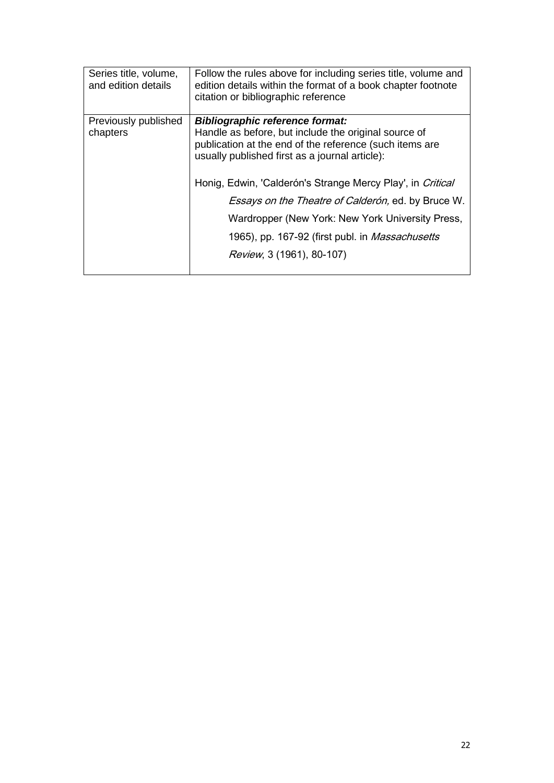| Series title, volume,<br>and edition details | Follow the rules above for including series title, volume and<br>edition details within the format of a book chapter footnote<br>citation or bibliographic reference                                                                                                                                                                                                                                                                                                               |
|----------------------------------------------|------------------------------------------------------------------------------------------------------------------------------------------------------------------------------------------------------------------------------------------------------------------------------------------------------------------------------------------------------------------------------------------------------------------------------------------------------------------------------------|
| Previously published<br>chapters             | <b>Bibliographic reference format:</b><br>Handle as before, but include the original source of<br>publication at the end of the reference (such items are<br>usually published first as a journal article):<br>Honig, Edwin, 'Calderón's Strange Mercy Play', in Critical<br><i>Essays on the Theatre of Calderón</i> , ed. by Bruce W.<br>Wardropper (New York: New York University Press,<br>1965), pp. 167-92 (first publ. in <i>Massachusetts</i><br>Review, 3 (1961), 80-107) |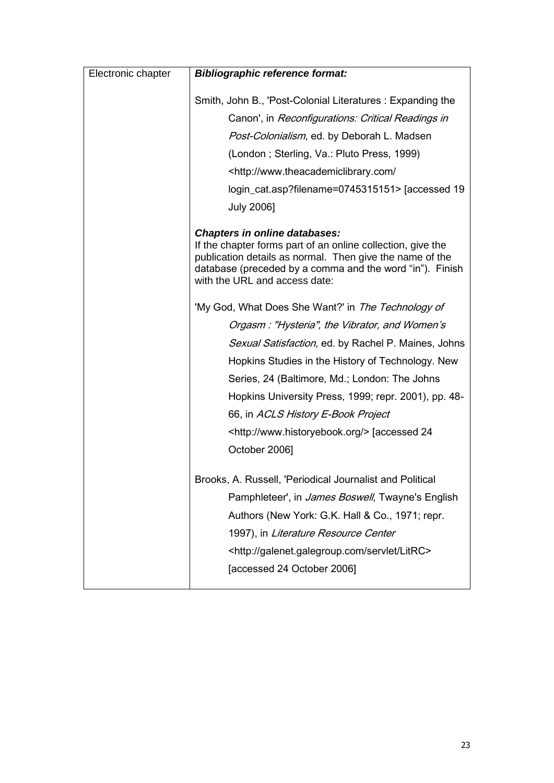| Electronic chapter | <b>Bibliographic reference format:</b>                                                                                                                                                                               |
|--------------------|----------------------------------------------------------------------------------------------------------------------------------------------------------------------------------------------------------------------|
|                    | Smith, John B., 'Post-Colonial Literatures: Expanding the                                                                                                                                                            |
|                    | Canon', in Reconfigurations: Critical Readings in                                                                                                                                                                    |
|                    |                                                                                                                                                                                                                      |
|                    | Post-Colonialism, ed. by Deborah L. Madsen                                                                                                                                                                           |
|                    | (London; Sterling, Va.: Pluto Press, 1999)                                                                                                                                                                           |
|                    | <http: <="" td="" www.theacademiclibrary.com=""></http:>                                                                                                                                                             |
|                    | login_cat.asp?filename=0745315151> [accessed 19                                                                                                                                                                      |
|                    | <b>July 2006]</b>                                                                                                                                                                                                    |
|                    | <b>Chapters in online databases:</b>                                                                                                                                                                                 |
|                    | If the chapter forms part of an online collection, give the<br>publication details as normal. Then give the name of the<br>database (preceded by a comma and the word "in"). Finish<br>with the URL and access date: |
|                    | 'My God, What Does She Want?' in The Technology of                                                                                                                                                                   |
|                    | Orgasm: "Hysteria", the Vibrator, and Women's                                                                                                                                                                        |
|                    | <i>Sexual Satisfaction,</i> ed. by Rachel P. Maines, Johns                                                                                                                                                           |
|                    | Hopkins Studies in the History of Technology. New                                                                                                                                                                    |
|                    | Series, 24 (Baltimore, Md.; London: The Johns                                                                                                                                                                        |
|                    | Hopkins University Press, 1999; repr. 2001), pp. 48-                                                                                                                                                                 |
|                    | 66, in ACLS History E-Book Project                                                                                                                                                                                   |
|                    | <http: www.historyebook.org=""></http:> [accessed 24                                                                                                                                                                 |
|                    | October 2006]                                                                                                                                                                                                        |
|                    |                                                                                                                                                                                                                      |
|                    | Brooks, A. Russell, 'Periodical Journalist and Political                                                                                                                                                             |
|                    | Pamphleteer', in <i>James Boswell</i> , Twayne's English                                                                                                                                                             |
|                    | Authors (New York: G.K. Hall & Co., 1971; repr.                                                                                                                                                                      |
|                    | 1997), in Literature Resource Center                                                                                                                                                                                 |
|                    | <http: galenet.galegroup.com="" litrc="" servlet=""></http:>                                                                                                                                                         |
|                    | [accessed 24 October 2006]                                                                                                                                                                                           |
|                    |                                                                                                                                                                                                                      |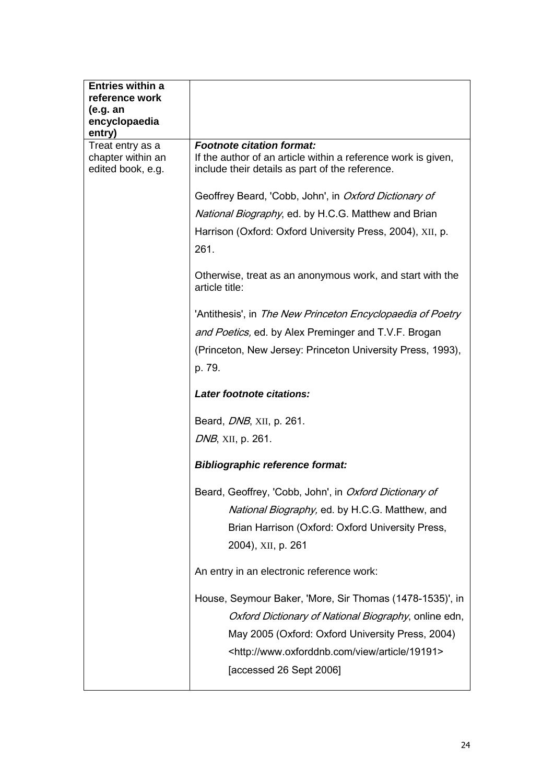| <b>Entries within a</b><br>reference work<br>(e.g. an<br>encyclopaedia<br>entry) |                                                                                                                                                                                    |
|----------------------------------------------------------------------------------|------------------------------------------------------------------------------------------------------------------------------------------------------------------------------------|
| Treat entry as a<br>chapter within an<br>edited book, e.g.                       | <b>Footnote citation format:</b><br>If the author of an article within a reference work is given,<br>include their details as part of the reference.                               |
|                                                                                  | Geoffrey Beard, 'Cobb, John', in Oxford Dictionary of                                                                                                                              |
|                                                                                  | National Biography, ed. by H.C.G. Matthew and Brian                                                                                                                                |
|                                                                                  | Harrison (Oxford: Oxford University Press, 2004), XII, p.                                                                                                                          |
|                                                                                  | 261.                                                                                                                                                                               |
|                                                                                  | Otherwise, treat as an anonymous work, and start with the<br>article title:                                                                                                        |
|                                                                                  | 'Antithesis', in The New Princeton Encyclopaedia of Poetry                                                                                                                         |
|                                                                                  | and Poetics, ed. by Alex Preminger and T.V.F. Brogan                                                                                                                               |
|                                                                                  | (Princeton, New Jersey: Princeton University Press, 1993),                                                                                                                         |
|                                                                                  | p. 79.                                                                                                                                                                             |
|                                                                                  | Later footnote citations:                                                                                                                                                          |
|                                                                                  | Beard, <i>DNB</i> , XII, p. 261.                                                                                                                                                   |
|                                                                                  |                                                                                                                                                                                    |
|                                                                                  | <i>DNB</i> , XII, p. 261.                                                                                                                                                          |
|                                                                                  | <b>Bibliographic reference format:</b>                                                                                                                                             |
|                                                                                  | Beard, Geoffrey, 'Cobb, John', in Oxford Dictionary of<br>National Biography, ed. by H.C.G. Matthew, and<br>Brian Harrison (Oxford: Oxford University Press,<br>2004), XII, p. 261 |
|                                                                                  | An entry in an electronic reference work:                                                                                                                                          |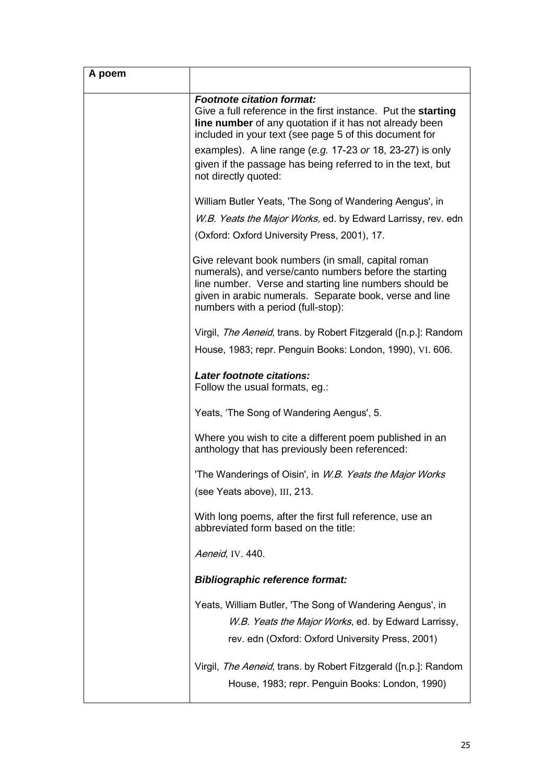| A poem |                                                                                                                                                                                                                                                                          |
|--------|--------------------------------------------------------------------------------------------------------------------------------------------------------------------------------------------------------------------------------------------------------------------------|
|        | <b>Footnote citation format:</b><br>Give a full reference in the first instance. Put the starting<br><b>line number</b> of any quotation if it has not already been<br>included in your text (see page 5 of this document for                                            |
|        | examples). A line range (e.g. 17-23 or 18, 23-27) is only<br>given if the passage has being referred to in the text, but<br>not directly quoted:                                                                                                                         |
|        | William Butler Yeats, 'The Song of Wandering Aengus', in                                                                                                                                                                                                                 |
|        | W.B. Yeats the Major Works, ed. by Edward Larrissy, rev. edn                                                                                                                                                                                                             |
|        | (Oxford: Oxford University Press, 2001), 17.                                                                                                                                                                                                                             |
|        | Give relevant book numbers (in small, capital roman<br>numerals), and verse/canto numbers before the starting<br>line number. Verse and starting line numbers should be<br>given in arabic numerals. Separate book, verse and line<br>numbers with a period (full-stop): |
|        | Virgil, <i>The Aeneid</i> , trans. by Robert Fitzgerald ([n.p.]: Random                                                                                                                                                                                                  |
|        | House, 1983; repr. Penguin Books: London, 1990), VI. 606.                                                                                                                                                                                                                |
|        | Later footnote citations:<br>Follow the usual formats, eg.:                                                                                                                                                                                                              |
|        | Yeats, 'The Song of Wandering Aengus', 5.                                                                                                                                                                                                                                |
|        | Where you wish to cite a different poem published in an<br>anthology that has previously been referenced:                                                                                                                                                                |
|        | 'The Wanderings of Oisin', in <i>W.B. Yeats the Major Works</i>                                                                                                                                                                                                          |
|        | (see Yeats above), III, 213.                                                                                                                                                                                                                                             |
|        | With long poems, after the first full reference, use an<br>abbreviated form based on the title:                                                                                                                                                                          |
|        | Aeneid, IV. 440.                                                                                                                                                                                                                                                         |
|        | <b>Bibliographic reference format:</b>                                                                                                                                                                                                                                   |
|        | Yeats, William Butler, 'The Song of Wandering Aengus', in<br>W.B. Yeats the Major Works, ed. by Edward Larrissy,<br>rev. edn (Oxford: Oxford University Press, 2001)                                                                                                     |
|        | Virgil, The Aeneid, trans. by Robert Fitzgerald ([n.p.]: Random<br>House, 1983; repr. Penguin Books: London, 1990)                                                                                                                                                       |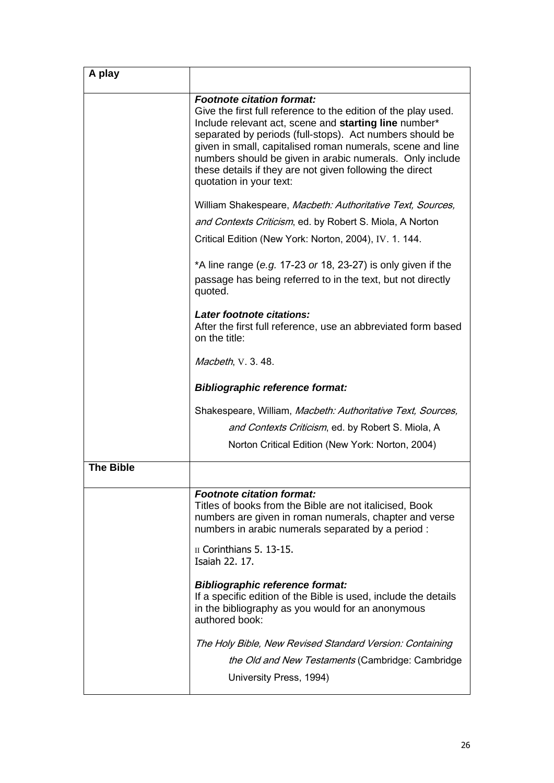| A play           |                                                                                                                                                                                                                                                                                                                                                                                                                                          |
|------------------|------------------------------------------------------------------------------------------------------------------------------------------------------------------------------------------------------------------------------------------------------------------------------------------------------------------------------------------------------------------------------------------------------------------------------------------|
|                  | <b>Footnote citation format:</b><br>Give the first full reference to the edition of the play used.<br>Include relevant act, scene and starting line number*<br>separated by periods (full-stops). Act numbers should be<br>given in small, capitalised roman numerals, scene and line<br>numbers should be given in arabic numerals. Only include<br>these details if they are not given following the direct<br>quotation in your text: |
|                  | William Shakespeare, Macbeth: Authoritative Text, Sources,                                                                                                                                                                                                                                                                                                                                                                               |
|                  | and Contexts Criticism, ed. by Robert S. Miola, A Norton                                                                                                                                                                                                                                                                                                                                                                                 |
|                  | Critical Edition (New York: Norton, 2004), IV. 1. 144.                                                                                                                                                                                                                                                                                                                                                                                   |
|                  | *A line range (e.g. 17-23 or 18, 23-27) is only given if the<br>passage has being referred to in the text, but not directly<br>quoted.                                                                                                                                                                                                                                                                                                   |
|                  | Later footnote citations:<br>After the first full reference, use an abbreviated form based<br>on the title:                                                                                                                                                                                                                                                                                                                              |
|                  | Macbeth, V. 3. 48.                                                                                                                                                                                                                                                                                                                                                                                                                       |
|                  | <b>Bibliographic reference format:</b>                                                                                                                                                                                                                                                                                                                                                                                                   |
|                  | Shakespeare, William, Macbeth: Authoritative Text, Sources,                                                                                                                                                                                                                                                                                                                                                                              |
|                  | and Contexts Criticism, ed. by Robert S. Miola, A                                                                                                                                                                                                                                                                                                                                                                                        |
|                  | Norton Critical Edition (New York: Norton, 2004)                                                                                                                                                                                                                                                                                                                                                                                         |
| <b>The Bible</b> |                                                                                                                                                                                                                                                                                                                                                                                                                                          |
|                  | <b>Footnote citation format:</b><br>Titles of books from the Bible are not italicised, Book<br>numbers are given in roman numerals, chapter and verse<br>numbers in arabic numerals separated by a period :                                                                                                                                                                                                                              |
|                  | II Corinthians 5. 13-15.<br>Isaiah 22. 17.                                                                                                                                                                                                                                                                                                                                                                                               |
|                  | <b>Bibliographic reference format:</b><br>If a specific edition of the Bible is used, include the details<br>in the bibliography as you would for an anonymous<br>authored book:                                                                                                                                                                                                                                                         |
|                  | The Holy Bible, New Revised Standard Version: Containing<br><i>the Old and New Testaments</i> (Cambridge: Cambridge<br>University Press, 1994)                                                                                                                                                                                                                                                                                           |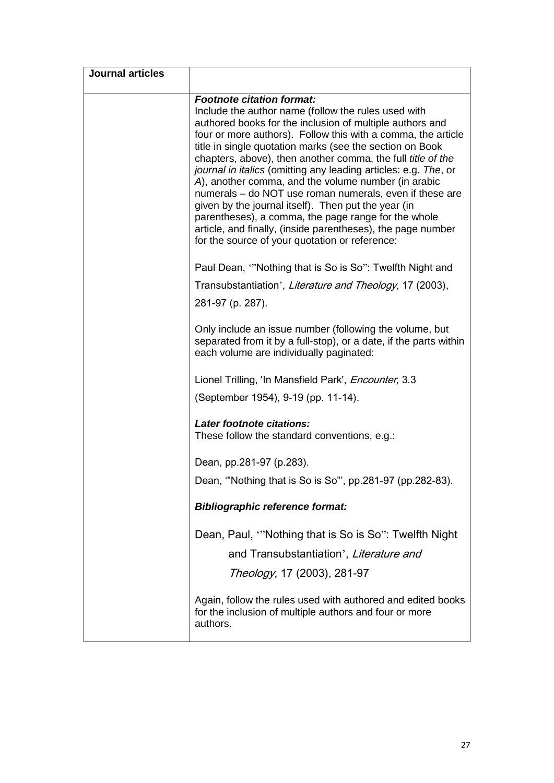| <b>Journal articles</b> |                                                                                                                                                                                                                                                                                                                                                                                                                                                                                                                                                                                                                                                                                                                                                                    |
|-------------------------|--------------------------------------------------------------------------------------------------------------------------------------------------------------------------------------------------------------------------------------------------------------------------------------------------------------------------------------------------------------------------------------------------------------------------------------------------------------------------------------------------------------------------------------------------------------------------------------------------------------------------------------------------------------------------------------------------------------------------------------------------------------------|
|                         | <b>Footnote citation format:</b><br>Include the author name (follow the rules used with<br>authored books for the inclusion of multiple authors and<br>four or more authors). Follow this with a comma, the article<br>title in single quotation marks (see the section on Book<br>chapters, above), then another comma, the full title of the<br>journal in italics (omitting any leading articles: e.g. The, or<br>A), another comma, and the volume number (in arabic<br>numerals - do NOT use roman numerals, even if these are<br>given by the journal itself). Then put the year (in<br>parentheses), a comma, the page range for the whole<br>article, and finally, (inside parentheses), the page number<br>for the source of your quotation or reference: |
|                         | Paul Dean, "Nothing that is So is So": Twelfth Night and                                                                                                                                                                                                                                                                                                                                                                                                                                                                                                                                                                                                                                                                                                           |
|                         | Transubstantiation', Literature and Theology, 17 (2003),                                                                                                                                                                                                                                                                                                                                                                                                                                                                                                                                                                                                                                                                                                           |
|                         | 281-97 (p. 287).                                                                                                                                                                                                                                                                                                                                                                                                                                                                                                                                                                                                                                                                                                                                                   |
|                         | Only include an issue number (following the volume, but<br>separated from it by a full-stop), or a date, if the parts within<br>each volume are individually paginated:                                                                                                                                                                                                                                                                                                                                                                                                                                                                                                                                                                                            |
|                         | Lionel Trilling, 'In Mansfield Park', <i>Encounter</i> , 3.3                                                                                                                                                                                                                                                                                                                                                                                                                                                                                                                                                                                                                                                                                                       |
|                         | (September 1954), 9-19 (pp. 11-14).                                                                                                                                                                                                                                                                                                                                                                                                                                                                                                                                                                                                                                                                                                                                |
|                         | Later footnote citations:<br>These follow the standard conventions, e.g.:                                                                                                                                                                                                                                                                                                                                                                                                                                                                                                                                                                                                                                                                                          |
|                         | Dean, pp.281-97 (p.283).                                                                                                                                                                                                                                                                                                                                                                                                                                                                                                                                                                                                                                                                                                                                           |
|                         | Dean, "Nothing that is So is So", pp.281-97 (pp.282-83).                                                                                                                                                                                                                                                                                                                                                                                                                                                                                                                                                                                                                                                                                                           |
|                         | <b>Bibliographic reference format:</b>                                                                                                                                                                                                                                                                                                                                                                                                                                                                                                                                                                                                                                                                                                                             |
|                         | Dean, Paul, "Nothing that is So is So": Twelfth Night                                                                                                                                                                                                                                                                                                                                                                                                                                                                                                                                                                                                                                                                                                              |
|                         | and Transubstantiation', Literature and                                                                                                                                                                                                                                                                                                                                                                                                                                                                                                                                                                                                                                                                                                                            |
|                         | Theology, 17 (2003), 281-97                                                                                                                                                                                                                                                                                                                                                                                                                                                                                                                                                                                                                                                                                                                                        |
|                         | Again, follow the rules used with authored and edited books<br>for the inclusion of multiple authors and four or more<br>authors.                                                                                                                                                                                                                                                                                                                                                                                                                                                                                                                                                                                                                                  |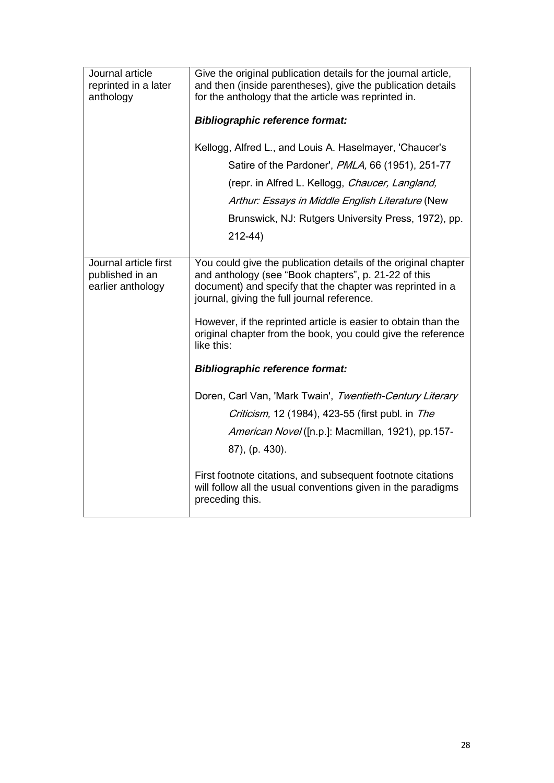| Journal article<br>reprinted in a later<br>anthology          | Give the original publication details for the journal article,<br>and then (inside parentheses), give the publication details<br>for the anthology that the article was reprinted in.                                                                                                                                                                                                                                        |
|---------------------------------------------------------------|------------------------------------------------------------------------------------------------------------------------------------------------------------------------------------------------------------------------------------------------------------------------------------------------------------------------------------------------------------------------------------------------------------------------------|
|                                                               | <b>Bibliographic reference format:</b>                                                                                                                                                                                                                                                                                                                                                                                       |
|                                                               | Kellogg, Alfred L., and Louis A. Haselmayer, 'Chaucer's                                                                                                                                                                                                                                                                                                                                                                      |
|                                                               | Satire of the Pardoner', PMLA, 66 (1951), 251-77                                                                                                                                                                                                                                                                                                                                                                             |
|                                                               | (repr. in Alfred L. Kellogg, Chaucer, Langland,                                                                                                                                                                                                                                                                                                                                                                              |
|                                                               | Arthur: Essays in Middle English Literature (New                                                                                                                                                                                                                                                                                                                                                                             |
|                                                               | Brunswick, NJ: Rutgers University Press, 1972), pp.                                                                                                                                                                                                                                                                                                                                                                          |
|                                                               | $212 - 44$                                                                                                                                                                                                                                                                                                                                                                                                                   |
| Journal article first<br>published in an<br>earlier anthology | You could give the publication details of the original chapter<br>and anthology (see "Book chapters", p. 21-22 of this<br>document) and specify that the chapter was reprinted in a<br>journal, giving the full journal reference.<br>However, if the reprinted article is easier to obtain than the<br>original chapter from the book, you could give the reference<br>like this:<br><b>Bibliographic reference format:</b> |
|                                                               | Doren, Carl Van, 'Mark Twain', Twentieth-Century Literary<br><i>Criticism,</i> 12 (1984), 423-55 (first publ. in <i>The</i><br>American Novel ([n.p.]: Macmillan, 1921), pp.157-<br>87), (p. 430).<br>First footnote citations, and subsequent footnote citations<br>will follow all the usual conventions given in the paradigms<br>preceding this.                                                                         |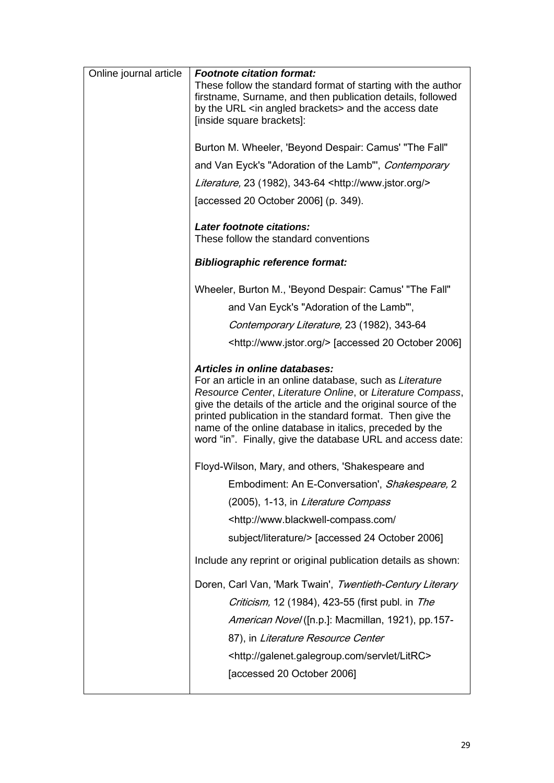| Online journal article | <b>Footnote citation format:</b><br>These follow the standard format of starting with the author<br>firstname, Surname, and then publication details, followed<br>by the URL <in angled="" brackets=""> and the access date</in>                                                                                                                                                                                       |
|------------------------|------------------------------------------------------------------------------------------------------------------------------------------------------------------------------------------------------------------------------------------------------------------------------------------------------------------------------------------------------------------------------------------------------------------------|
|                        | [inside square brackets]:                                                                                                                                                                                                                                                                                                                                                                                              |
|                        | Burton M. Wheeler, 'Beyond Despair: Camus' "The Fall"                                                                                                                                                                                                                                                                                                                                                                  |
|                        | and Van Eyck's "Adoration of the Lamb", Contemporary                                                                                                                                                                                                                                                                                                                                                                   |
|                        | Literature, 23 (1982), 343-64 <http: www.jstor.org=""></http:>                                                                                                                                                                                                                                                                                                                                                         |
|                        | [accessed 20 October 2006] (p. 349).                                                                                                                                                                                                                                                                                                                                                                                   |
|                        | Later footnote citations:<br>These follow the standard conventions                                                                                                                                                                                                                                                                                                                                                     |
|                        | <b>Bibliographic reference format:</b>                                                                                                                                                                                                                                                                                                                                                                                 |
|                        | Wheeler, Burton M., 'Beyond Despair: Camus' "The Fall"                                                                                                                                                                                                                                                                                                                                                                 |
|                        | and Van Eyck's "Adoration of the Lamb"',                                                                                                                                                                                                                                                                                                                                                                               |
|                        | Contemporary Literature, 23 (1982), 343-64                                                                                                                                                                                                                                                                                                                                                                             |
|                        | <http: www.jstor.org=""></http:> [accessed 20 October 2006]                                                                                                                                                                                                                                                                                                                                                            |
|                        | <b>Articles in online databases:</b><br>For an article in an online database, such as Literature<br>Resource Center, Literature Online, or Literature Compass,<br>give the details of the article and the original source of the<br>printed publication in the standard format. Then give the<br>name of the online database in italics, preceded by the<br>word "in". Finally, give the database URL and access date: |
|                        | Floyd-Wilson, Mary, and others, 'Shakespeare and                                                                                                                                                                                                                                                                                                                                                                       |
|                        | Embodiment: An E-Conversation', Shakespeare, 2                                                                                                                                                                                                                                                                                                                                                                         |
|                        | (2005), 1-13, in Literature Compass                                                                                                                                                                                                                                                                                                                                                                                    |
|                        | <http: <="" td="" www.blackwell-compass.com=""></http:>                                                                                                                                                                                                                                                                                                                                                                |
|                        | subject/literature/> [accessed 24 October 2006]                                                                                                                                                                                                                                                                                                                                                                        |
|                        | Include any reprint or original publication details as shown:                                                                                                                                                                                                                                                                                                                                                          |
|                        | Doren, Carl Van, 'Mark Twain', Twentieth-Century Literary<br><i>Criticism,</i> 12 (1984), 423-55 (first publ. in <i>The</i><br>American Novel ([n.p.]: Macmillan, 1921), pp.157-<br>87), in Literature Resource Center<br><http: galenet.galegroup.com="" litrc="" servlet=""><br/>[accessed 20 October 2006]</http:>                                                                                                  |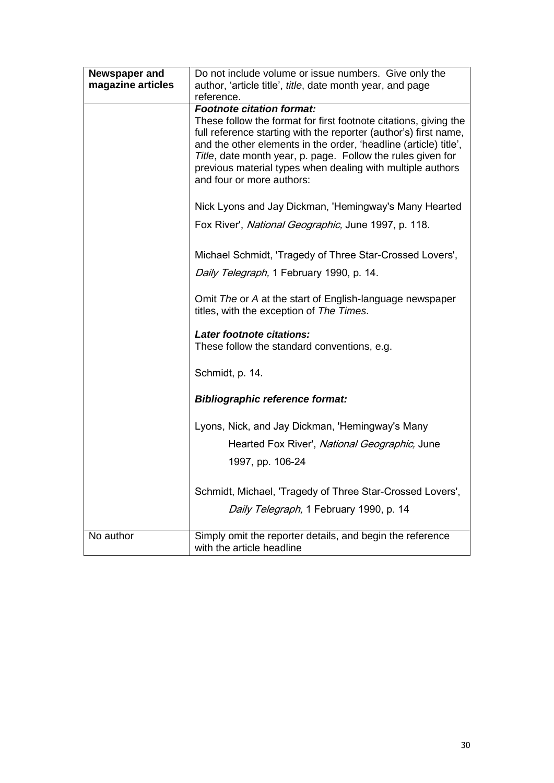| Newspaper and     | Do not include volume or issue numbers. Give only the            |
|-------------------|------------------------------------------------------------------|
| magazine articles | author, 'article title', title, date month year, and page        |
|                   | reference.                                                       |
|                   | <b>Footnote citation format:</b>                                 |
|                   | These follow the format for first footnote citations, giving the |
|                   | full reference starting with the reporter (author's) first name, |
|                   | and the other elements in the order, 'headline (article) title', |
|                   | Title, date month year, p. page. Follow the rules given for      |
|                   | previous material types when dealing with multiple authors       |
|                   | and four or more authors:                                        |
|                   |                                                                  |
|                   | Nick Lyons and Jay Dickman, 'Hemingway's Many Hearted            |
|                   | Fox River', National Geographic, June 1997, p. 118.              |
|                   |                                                                  |
|                   | Michael Schmidt, 'Tragedy of Three Star-Crossed Lovers',         |
|                   |                                                                  |
|                   | Daily Telegraph, 1 February 1990, p. 14.                         |
|                   |                                                                  |
|                   | Omit The or A at the start of English-language newspaper         |
|                   | titles, with the exception of The Times.                         |
|                   |                                                                  |
|                   | Later footnote citations:                                        |
|                   | These follow the standard conventions, e.g.                      |
|                   |                                                                  |
|                   | Schmidt, p. 14.                                                  |
|                   |                                                                  |
|                   | <b>Bibliographic reference format:</b>                           |
|                   |                                                                  |
|                   | Lyons, Nick, and Jay Dickman, 'Hemingway's Many                  |
|                   |                                                                  |
|                   | Hearted Fox River', National Geographic, June                    |
|                   | 1997, pp. 106-24                                                 |
|                   |                                                                  |
|                   |                                                                  |
|                   | Schmidt, Michael, 'Tragedy of Three Star-Crossed Lovers',        |
|                   | Daily Telegraph, 1 February 1990, p. 14                          |
|                   |                                                                  |
| No author         | Simply omit the reporter details, and begin the reference        |
|                   | with the article headline                                        |
|                   |                                                                  |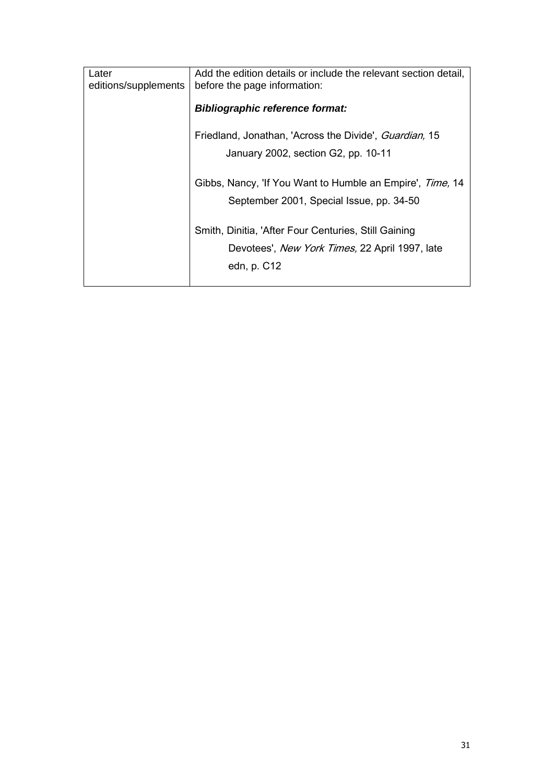| Later<br>editions/supplements | Add the edition details or include the relevant section detail,<br>before the page information: |
|-------------------------------|-------------------------------------------------------------------------------------------------|
|                               | <b>Bibliographic reference format:</b>                                                          |
|                               | Friedland, Jonathan, 'Across the Divide', Guardian, 15                                          |
|                               | January 2002, section G2, pp. 10-11                                                             |
|                               | Gibbs, Nancy, 'If You Want to Humble an Empire', Time, 14                                       |
|                               | September 2001, Special Issue, pp. 34-50                                                        |
|                               | Smith, Dinitia, 'After Four Centuries, Still Gaining                                            |
|                               | Devotees', New York Times, 22 April 1997, late                                                  |
|                               | edn, p. C12                                                                                     |
|                               |                                                                                                 |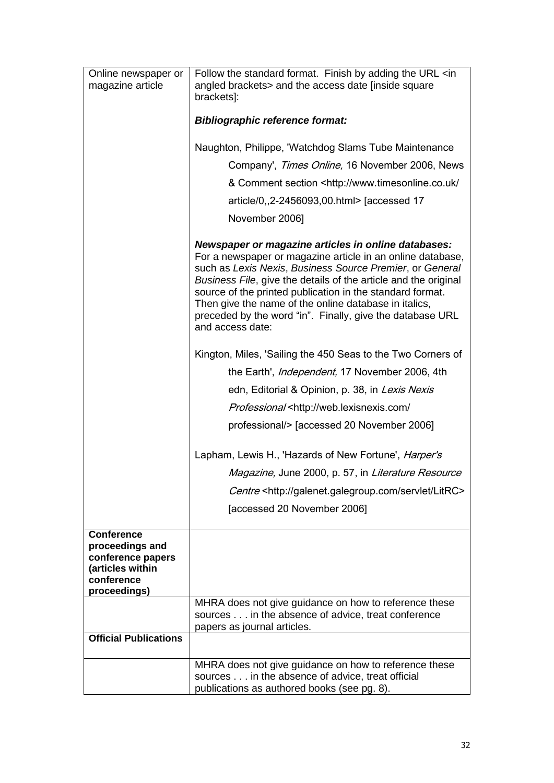| Online newspaper or                                                                    | Follow the standard format. Finish by adding the URL <in< th=""></in<>                                                                                                                                                                                                                                                                                                                                                                                  |
|----------------------------------------------------------------------------------------|---------------------------------------------------------------------------------------------------------------------------------------------------------------------------------------------------------------------------------------------------------------------------------------------------------------------------------------------------------------------------------------------------------------------------------------------------------|
| magazine article                                                                       | angled brackets> and the access date [inside square<br>brackets]:                                                                                                                                                                                                                                                                                                                                                                                       |
|                                                                                        |                                                                                                                                                                                                                                                                                                                                                                                                                                                         |
|                                                                                        | <b>Bibliographic reference format:</b>                                                                                                                                                                                                                                                                                                                                                                                                                  |
|                                                                                        | Naughton, Philippe, 'Watchdog Slams Tube Maintenance                                                                                                                                                                                                                                                                                                                                                                                                    |
|                                                                                        | Company', Times Online, 16 November 2006, News                                                                                                                                                                                                                                                                                                                                                                                                          |
|                                                                                        | & Comment section <http: <="" td="" www.timesonline.co.uk=""></http:>                                                                                                                                                                                                                                                                                                                                                                                   |
|                                                                                        | article/0,,2-2456093,00.html> [accessed 17                                                                                                                                                                                                                                                                                                                                                                                                              |
|                                                                                        | November 2006]                                                                                                                                                                                                                                                                                                                                                                                                                                          |
|                                                                                        | Newspaper or magazine articles in online databases:<br>For a newspaper or magazine article in an online database,<br>such as Lexis Nexis, Business Source Premier, or General<br>Business File, give the details of the article and the original<br>source of the printed publication in the standard format.<br>Then give the name of the online database in italics,<br>preceded by the word "in". Finally, give the database URL<br>and access date: |
|                                                                                        | Kington, Miles, 'Sailing the 450 Seas to the Two Corners of                                                                                                                                                                                                                                                                                                                                                                                             |
|                                                                                        | the Earth', <i>Independent</i> , 17 November 2006, 4th                                                                                                                                                                                                                                                                                                                                                                                                  |
|                                                                                        | edn, Editorial & Opinion, p. 38, in Lexis Nexis                                                                                                                                                                                                                                                                                                                                                                                                         |
|                                                                                        | Professional <http: <="" td="" web.lexisnexis.com=""></http:>                                                                                                                                                                                                                                                                                                                                                                                           |
|                                                                                        | professional/> [accessed 20 November 2006]                                                                                                                                                                                                                                                                                                                                                                                                              |
|                                                                                        | Lapham, Lewis H., 'Hazards of New Fortune', <i>Harper's</i>                                                                                                                                                                                                                                                                                                                                                                                             |
|                                                                                        | Magazine, June 2000, p. 57, in Literature Resource                                                                                                                                                                                                                                                                                                                                                                                                      |
|                                                                                        | Centre <http: galenet.galegroup.com="" litrc="" servlet=""></http:>                                                                                                                                                                                                                                                                                                                                                                                     |
|                                                                                        | [accessed 20 November 2006]                                                                                                                                                                                                                                                                                                                                                                                                                             |
| <b>Conference</b>                                                                      |                                                                                                                                                                                                                                                                                                                                                                                                                                                         |
| proceedings and<br>conference papers<br>(articles within<br>conference<br>proceedings) |                                                                                                                                                                                                                                                                                                                                                                                                                                                         |
|                                                                                        | MHRA does not give guidance on how to reference these                                                                                                                                                                                                                                                                                                                                                                                                   |
|                                                                                        | sources in the absence of advice, treat conference<br>papers as journal articles.                                                                                                                                                                                                                                                                                                                                                                       |
| <b>Official Publications</b>                                                           |                                                                                                                                                                                                                                                                                                                                                                                                                                                         |
|                                                                                        |                                                                                                                                                                                                                                                                                                                                                                                                                                                         |
|                                                                                        | MHRA does not give guidance on how to reference these                                                                                                                                                                                                                                                                                                                                                                                                   |
|                                                                                        | sources in the absence of advice, treat official<br>publications as authored books (see pg. 8).                                                                                                                                                                                                                                                                                                                                                         |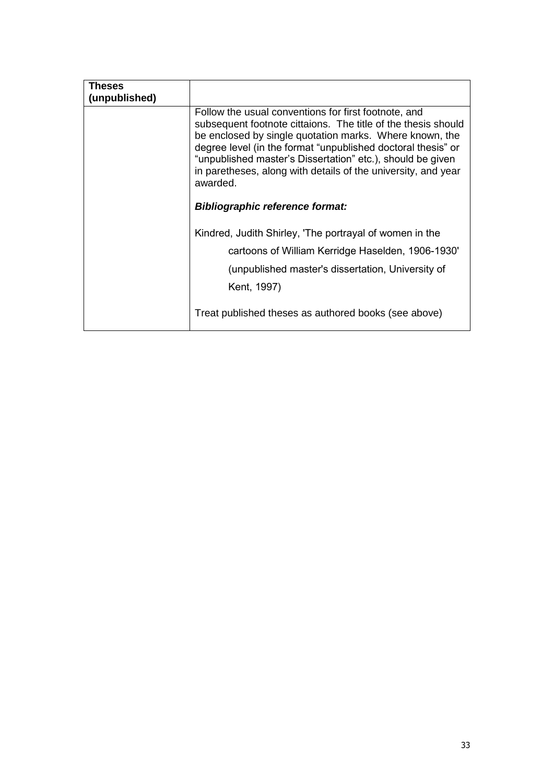| Theses<br>(unpublished) |                                                                                                                                                                                                                                                                                                                                                                                             |
|-------------------------|---------------------------------------------------------------------------------------------------------------------------------------------------------------------------------------------------------------------------------------------------------------------------------------------------------------------------------------------------------------------------------------------|
|                         | Follow the usual conventions for first footnote, and<br>subsequent footnote cittaions. The title of the thesis should<br>be enclosed by single quotation marks. Where known, the<br>degree level (in the format "unpublished doctoral thesis" or<br>"unpublished master's Dissertation" etc.), should be given<br>in paretheses, along with details of the university, and year<br>awarded. |
|                         | <b>Bibliographic reference format:</b>                                                                                                                                                                                                                                                                                                                                                      |
|                         | Kindred, Judith Shirley, 'The portrayal of women in the<br>cartoons of William Kerridge Haselden, 1906-1930'<br>(unpublished master's dissertation, University of<br>Kent, 1997)                                                                                                                                                                                                            |
|                         | Treat published theses as authored books (see above)                                                                                                                                                                                                                                                                                                                                        |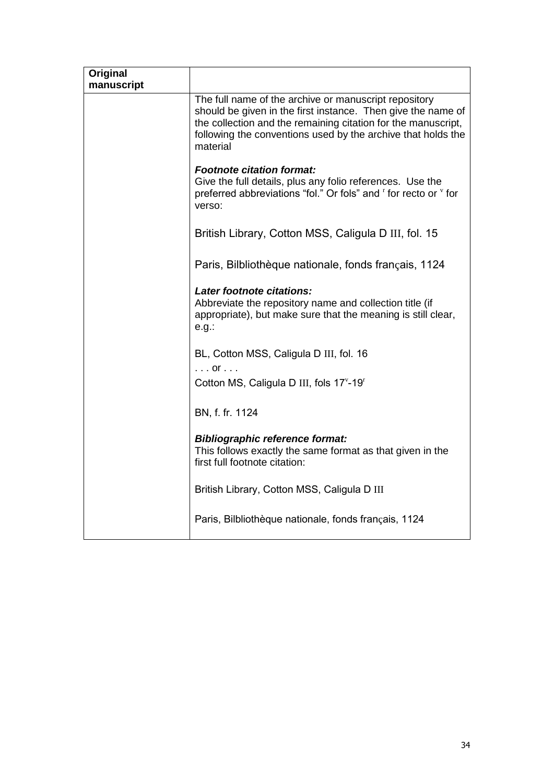| Original<br>manuscript |                                                                                                                                                                                                                                                                    |
|------------------------|--------------------------------------------------------------------------------------------------------------------------------------------------------------------------------------------------------------------------------------------------------------------|
|                        | The full name of the archive or manuscript repository<br>should be given in the first instance. Then give the name of<br>the collection and the remaining citation for the manuscript,<br>following the conventions used by the archive that holds the<br>material |
|                        | <b>Footnote citation format:</b><br>Give the full details, plus any folio references. Use the<br>preferred abbreviations "fol." Or fols" and " for recto or " for<br>verso:                                                                                        |
|                        | British Library, Cotton MSS, Caligula D III, fol. 15                                                                                                                                                                                                               |
|                        | Paris, Bilbliothèque nationale, fonds français, 1124                                                                                                                                                                                                               |
|                        | Later footnote citations:<br>Abbreviate the repository name and collection title (if<br>appropriate), but make sure that the meaning is still clear,<br>e.g.:                                                                                                      |
|                        | BL, Cotton MSS, Caligula D III, fol. 16<br>$\ldots$ or $\ldots$                                                                                                                                                                                                    |
|                        | Cotton MS, Caligula D III, fols 17 <sup>v</sup> -19 <sup>r</sup>                                                                                                                                                                                                   |
|                        | BN, f. fr. 1124                                                                                                                                                                                                                                                    |
|                        | <b>Bibliographic reference format:</b><br>This follows exactly the same format as that given in the<br>first full footnote citation:                                                                                                                               |
|                        | British Library, Cotton MSS, Caligula D III                                                                                                                                                                                                                        |
|                        | Paris, Bilbliothèque nationale, fonds français, 1124                                                                                                                                                                                                               |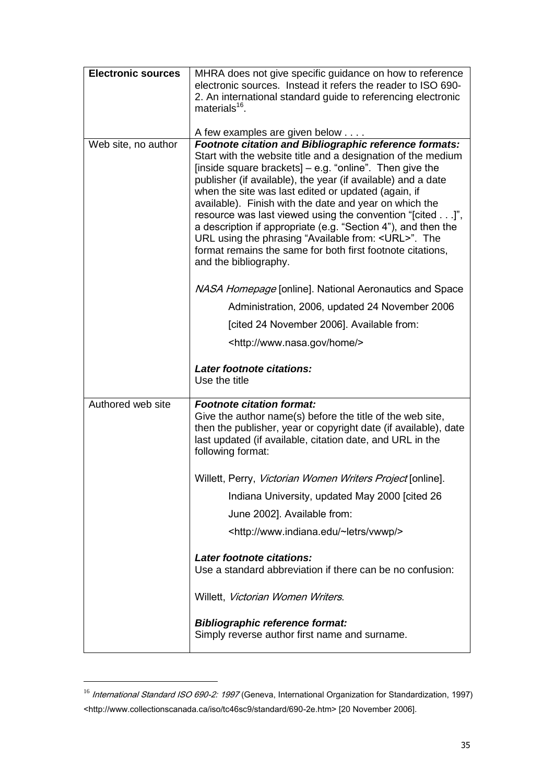| <b>Electronic sources</b> | MHRA does not give specific guidance on how to reference<br>electronic sources. Instead it refers the reader to ISO 690-<br>2. An international standard guide to referencing electronic<br>materials <sup>16</sup> .                                                                                                                                                                                                                                                                                                                                                                                                                                                                            |
|---------------------------|--------------------------------------------------------------------------------------------------------------------------------------------------------------------------------------------------------------------------------------------------------------------------------------------------------------------------------------------------------------------------------------------------------------------------------------------------------------------------------------------------------------------------------------------------------------------------------------------------------------------------------------------------------------------------------------------------|
| Web site, no author       | A few examples are given below<br><b>Footnote citation and Bibliographic reference formats:</b><br>Start with the website title and a designation of the medium<br>[inside square brackets] $-$ e.g. "online". Then give the<br>publisher (if available), the year (if available) and a date<br>when the site was last edited or updated (again, if<br>available). Finish with the date and year on which the<br>resource was last viewed using the convention "[cited]",<br>a description if appropriate (e.g. "Section 4"), and then the<br>URL using the phrasing "Available from: <url>". The<br/>format remains the same for both first footnote citations,<br/>and the bibliography.</url> |
|                           | NASA Homepage [online]. National Aeronautics and Space<br>Administration, 2006, updated 24 November 2006<br>[cited 24 November 2006]. Available from:<br><http: home="" www.nasa.gov=""></http:>                                                                                                                                                                                                                                                                                                                                                                                                                                                                                                 |
|                           | Later footnote citations:                                                                                                                                                                                                                                                                                                                                                                                                                                                                                                                                                                                                                                                                        |
|                           | Use the title                                                                                                                                                                                                                                                                                                                                                                                                                                                                                                                                                                                                                                                                                    |
| Authored web site         | <b>Footnote citation format:</b><br>Give the author name(s) before the title of the web site,<br>then the publisher, year or copyright date (if available), date<br>last updated (if available, citation date, and URL in the<br>following format:                                                                                                                                                                                                                                                                                                                                                                                                                                               |
|                           | Willett, Perry, <i>Victorian Women Writers Project</i> [online].                                                                                                                                                                                                                                                                                                                                                                                                                                                                                                                                                                                                                                 |
|                           | Indiana University, updated May 2000 [cited 26                                                                                                                                                                                                                                                                                                                                                                                                                                                                                                                                                                                                                                                   |
|                           | June 2002]. Available from:                                                                                                                                                                                                                                                                                                                                                                                                                                                                                                                                                                                                                                                                      |
|                           | <http: vwwp="" www.indiana.edu="" ~letrs=""></http:>                                                                                                                                                                                                                                                                                                                                                                                                                                                                                                                                                                                                                                             |
|                           | Later footnote citations:<br>Use a standard abbreviation if there can be no confusion:                                                                                                                                                                                                                                                                                                                                                                                                                                                                                                                                                                                                           |
|                           | Willett, Victorian Women Writers.                                                                                                                                                                                                                                                                                                                                                                                                                                                                                                                                                                                                                                                                |

<sup>&</sup>lt;sup>16</sup> International Standard ISO 690-2: 1997 (Geneva, International Organization for Standardization, 1997) <http://www.collectionscanada.ca/iso/tc46sc9/standard/690-2e.htm> [20 November 2006].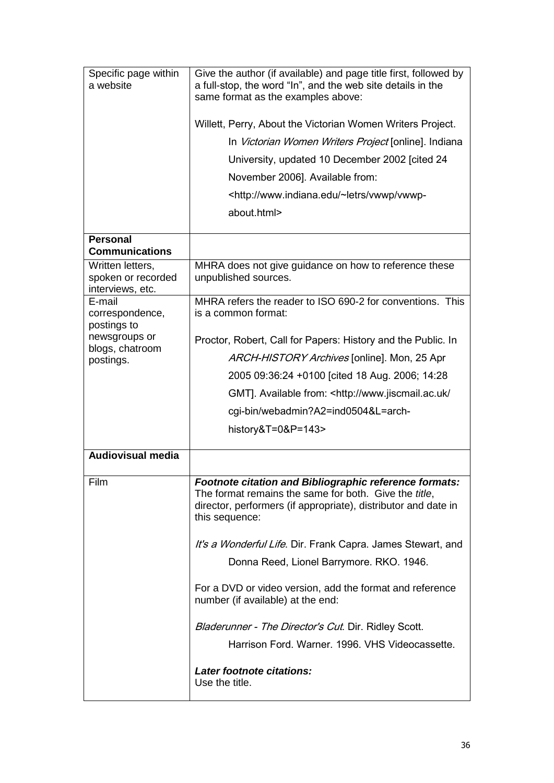| Specific page within<br>a website                          | Give the author (if available) and page title first, followed by<br>a full-stop, the word "In", and the web site details in the<br>same format as the examples above:                                       |
|------------------------------------------------------------|-------------------------------------------------------------------------------------------------------------------------------------------------------------------------------------------------------------|
|                                                            | Willett, Perry, About the Victorian Women Writers Project.                                                                                                                                                  |
|                                                            | In Victorian Women Writers Project [online]. Indiana                                                                                                                                                        |
|                                                            | University, updated 10 December 2002 [cited 24                                                                                                                                                              |
|                                                            | November 2006]. Available from:                                                                                                                                                                             |
|                                                            | <http: td="" vwwp="" vwwp-<="" www.indiana.edu="" ~letrs=""></http:>                                                                                                                                        |
|                                                            | about.html>                                                                                                                                                                                                 |
| <b>Personal</b>                                            |                                                                                                                                                                                                             |
| <b>Communications</b>                                      |                                                                                                                                                                                                             |
| Written letters,<br>spoken or recorded<br>interviews, etc. | MHRA does not give guidance on how to reference these<br>unpublished sources.                                                                                                                               |
| E-mail<br>correspondence,<br>postings to                   | MHRA refers the reader to ISO 690-2 for conventions. This<br>is a common format:                                                                                                                            |
| newsgroups or                                              | Proctor, Robert, Call for Papers: History and the Public. In                                                                                                                                                |
| blogs, chatroom<br>postings.                               | ARCH-HISTORY Archives [online]. Mon, 25 Apr                                                                                                                                                                 |
|                                                            | 2005 09:36:24 +0100 [cited 18 Aug. 2006; 14:28                                                                                                                                                              |
|                                                            | GMT]. Available from: <http: <="" td="" www.jiscmail.ac.uk=""></http:>                                                                                                                                      |
|                                                            | cgi-bin/webadmin?A2=ind0504&L=arch-                                                                                                                                                                         |
|                                                            | history&T=0&P=143>                                                                                                                                                                                          |
| <b>Audiovisual media</b>                                   |                                                                                                                                                                                                             |
| Film                                                       | Footnote citation and Bibliographic reference formats:<br>The format remains the same for both. Give the <i>title</i> ,<br>director, performers (if appropriate), distributor and date in<br>this sequence: |
|                                                            | It's a Wonderful Life. Dir. Frank Capra. James Stewart, and<br>Donna Reed, Lionel Barrymore. RKO. 1946.                                                                                                     |
|                                                            | For a DVD or video version, add the format and reference<br>number (if available) at the end:                                                                                                               |
|                                                            | Bladerunner - The Director's Cut. Dir. Ridley Scott.<br>Harrison Ford. Warner. 1996. VHS Videocassette.                                                                                                     |
|                                                            | Later footnote citations:<br>Use the title.                                                                                                                                                                 |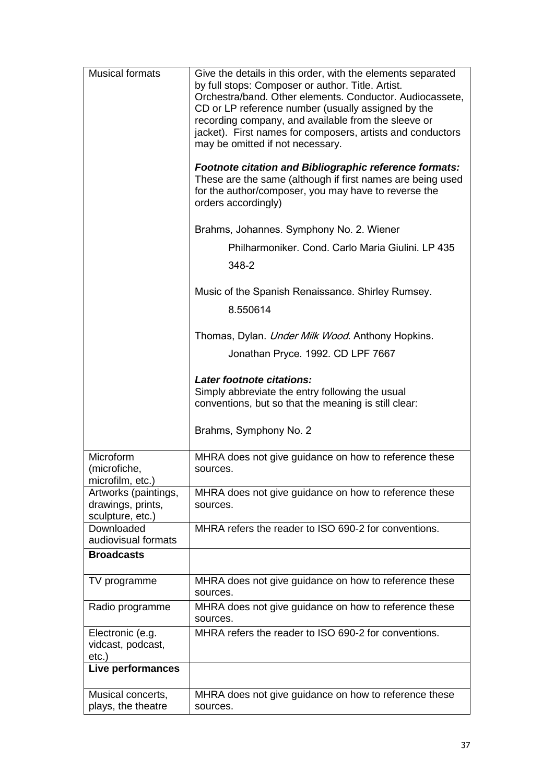| <b>Musical formats</b>                                        | Give the details in this order, with the elements separated<br>by full stops: Composer or author. Title. Artist.<br>Orchestra/band. Other elements. Conductor. Audiocassete,<br>CD or LP reference number (usually assigned by the<br>recording company, and available from the sleeve or<br>jacket). First names for composers, artists and conductors<br>may be omitted if not necessary.<br><b>Footnote citation and Bibliographic reference formats:</b><br>These are the same (although if first names are being used<br>for the author/composer, you may have to reverse the<br>orders accordingly)<br>Brahms, Johannes. Symphony No. 2. Wiener<br>Philharmoniker. Cond. Carlo Maria Giulini. LP 435<br>348-2<br>Music of the Spanish Renaissance. Shirley Rumsey.<br>8.550614<br>Thomas, Dylan. Under Milk Wood. Anthony Hopkins.<br>Jonathan Pryce. 1992. CD LPF 7667<br>Later footnote citations:<br>Simply abbreviate the entry following the usual<br>conventions, but so that the meaning is still clear: |
|---------------------------------------------------------------|-----------------------------------------------------------------------------------------------------------------------------------------------------------------------------------------------------------------------------------------------------------------------------------------------------------------------------------------------------------------------------------------------------------------------------------------------------------------------------------------------------------------------------------------------------------------------------------------------------------------------------------------------------------------------------------------------------------------------------------------------------------------------------------------------------------------------------------------------------------------------------------------------------------------------------------------------------------------------------------------------------------------------|
|                                                               | Brahms, Symphony No. 2                                                                                                                                                                                                                                                                                                                                                                                                                                                                                                                                                                                                                                                                                                                                                                                                                                                                                                                                                                                                |
| Microform<br>(microfiche,<br>microfilm, etc.)                 | MHRA does not give guidance on how to reference these<br>sources.                                                                                                                                                                                                                                                                                                                                                                                                                                                                                                                                                                                                                                                                                                                                                                                                                                                                                                                                                     |
| Artworks (paintings,<br>drawings, prints,<br>sculpture, etc.) | MHRA does not give guidance on how to reference these<br>sources.                                                                                                                                                                                                                                                                                                                                                                                                                                                                                                                                                                                                                                                                                                                                                                                                                                                                                                                                                     |
| Downloaded<br>audiovisual formats                             | MHRA refers the reader to ISO 690-2 for conventions.                                                                                                                                                                                                                                                                                                                                                                                                                                                                                                                                                                                                                                                                                                                                                                                                                                                                                                                                                                  |
| <b>Broadcasts</b>                                             |                                                                                                                                                                                                                                                                                                                                                                                                                                                                                                                                                                                                                                                                                                                                                                                                                                                                                                                                                                                                                       |
| TV programme                                                  | MHRA does not give guidance on how to reference these<br>sources.                                                                                                                                                                                                                                                                                                                                                                                                                                                                                                                                                                                                                                                                                                                                                                                                                                                                                                                                                     |
| Radio programme                                               | MHRA does not give guidance on how to reference these<br>sources.                                                                                                                                                                                                                                                                                                                                                                                                                                                                                                                                                                                                                                                                                                                                                                                                                                                                                                                                                     |
| Electronic (e.g.<br>vidcast, podcast,<br>$etc.$ )             | MHRA refers the reader to ISO 690-2 for conventions.                                                                                                                                                                                                                                                                                                                                                                                                                                                                                                                                                                                                                                                                                                                                                                                                                                                                                                                                                                  |
| Live performances                                             |                                                                                                                                                                                                                                                                                                                                                                                                                                                                                                                                                                                                                                                                                                                                                                                                                                                                                                                                                                                                                       |
| Musical concerts,<br>plays, the theatre                       | MHRA does not give guidance on how to reference these<br>sources.                                                                                                                                                                                                                                                                                                                                                                                                                                                                                                                                                                                                                                                                                                                                                                                                                                                                                                                                                     |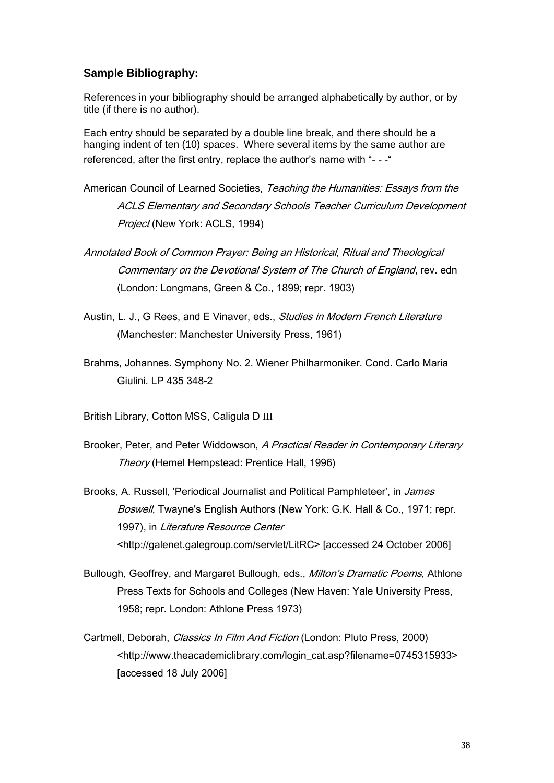## **Sample Bibliography:**

References in your bibliography should be arranged alphabetically by author, or by title (if there is no author).

Each entry should be separated by a double line break, and there should be a hanging indent of ten (10) spaces. Where several items by the same author are referenced, after the first entry, replace the author's name with "---"

- American Council of Learned Societies, Teaching the Humanities: Essays from the ACLS Elementary and Secondary Schools Teacher Curriculum Development Project (New York: ACLS, 1994)
- Annotated Book of Common Prayer: Being an Historical, Ritual and Theological Commentary on the Devotional System of The Church of England, rev. edn (London: Longmans, Green & Co., 1899; repr. 1903)
- Austin, L. J., G Rees, and E Vinaver, eds., *Studies in Modern French Literature* (Manchester: Manchester University Press, 1961)
- Brahms, Johannes. Symphony No. 2. Wiener Philharmoniker. Cond. Carlo Maria Giulini. LP 435 348-2

British Library, Cotton MSS, Caligula D III

- Brooker, Peter, and Peter Widdowson, A Practical Reader in Contemporary Literary Theory (Hemel Hempstead: Prentice Hall, 1996)
- Brooks, A. Russell, 'Periodical Journalist and Political Pamphleteer', in James Boswell, Twayne's English Authors (New York: G.K. Hall & Co., 1971; repr. 1997), in Literature Resource Center <http://galenet.galegroup.com/servlet/LitRC> [accessed 24 October 2006]
- Bullough, Geoffrey, and Margaret Bullough, eds., *Milton's Dramatic Poems*, Athlone Press Texts for Schools and Colleges (New Haven: Yale University Press, 1958; repr. London: Athlone Press 1973)
- Cartmell, Deborah, *Classics In Film And Fiction* (London: Pluto Press, 2000) <http://www.theacademiclibrary.com/login\_cat.asp?filename=0745315933> [accessed 18 July 2006]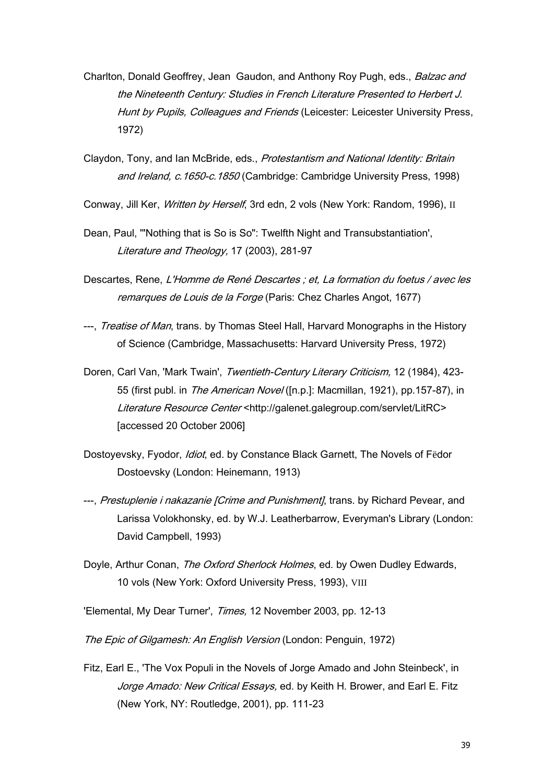- Charlton, Donald Geoffrey, Jean Gaudon, and Anthony Roy Pugh, eds., *Balzac and* the Nineteenth Century: Studies in French Literature Presented to Herbert J. Hunt by Pupils, Colleagues and Friends (Leicester: Leicester University Press, 1972)
- Claydon, Tony, and Ian McBride, eds., *Protestantism and National Identity: Britain* and Ireland, c. 1650-c. 1850 (Cambridge: Cambridge University Press, 1998)
- Conway, Jill Ker, *Written by Herself*, 3rd edn, 2 vols (New York: Random, 1996), II
- Dean, Paul, '"Nothing that is So is So": Twelfth Night and Transubstantiation', Literature and Theology, 17 (2003), 281-97
- Descartes, Rene, L'Homme de René Descartes ; et, La formation du foetus / avec les remarques de Louis de la Forge (Paris: Chez Charles Angot, 1677)
- ---, *Treatise of Man*, trans. by Thomas Steel Hall, Harvard Monographs in the History of Science (Cambridge, Massachusetts: Harvard University Press, 1972)
- Doren, Carl Van, 'Mark Twain', Twentieth-Century Literary Criticism, 12 (1984), 423-55 (first publ. in *The American Novel* ([n.p.]: Macmillan, 1921), pp.157-87), in Literature Resource Center <http://galenet.galegroup.com/servlet/LitRC> [accessed 20 October 2006]
- Dostoyevsky, Fyodor, *Idiot*, ed. by Constance Black Garnett, The Novels of Fedor Dostoevsky (London: Heinemann, 1913)
- ---, Prestuplenie i nakazanie [Crime and Punishment], trans. by Richard Pevear, and Larissa Volokhonsky, ed. by W.J. Leatherbarrow, Everyman's Library (London: David Campbell, 1993)
- Doyle, Arthur Conan, *The Oxford Sherlock Holmes*, ed. by Owen Dudley Edwards, 10 vols (New York: Oxford University Press, 1993), VIII
- 'Elemental, My Dear Turner', Times, 12 November 2003, pp. 12-13

The Epic of Gilgamesh: An English Version (London: Penguin, 1972)

Fitz, Earl E., 'The Vox Populi in the Novels of Jorge Amado and John Steinbeck', in Jorge Amado: New Critical Essays, ed. by Keith H. Brower, and Earl E. Fitz (New York, NY: Routledge, 2001), pp. 111-23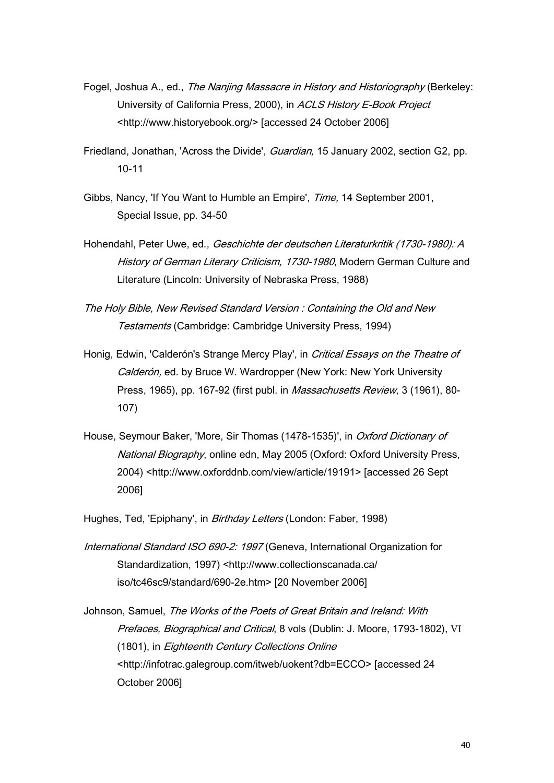- Fogel, Joshua A., ed., The Nanjing Massacre in History and Historiography (Berkeley: University of California Press, 2000), in ACLS History E-Book Project <http://www.historyebook.org/> [accessed 24 October 2006]
- Friedland, Jonathan, 'Across the Divide', Guardian, 15 January 2002, section G2, pp. 10-11
- Gibbs, Nancy, 'If You Want to Humble an Empire', Time, 14 September 2001, Special Issue, pp. 34-50
- Hohendahl, Peter Uwe, ed., Geschichte der deutschen Literaturkritik (1730-1980): A History of German Literary Criticism, 1730-1980, Modern German Culture and Literature (Lincoln: University of Nebraska Press, 1988)
- The Holy Bible, New Revised Standard Version : Containing the Old and New Testaments (Cambridge: Cambridge University Press, 1994)
- Honig, Edwin, 'Calderón's Strange Mercy Play', in *Critical Essays on the Theatre of* Calderón, ed. by Bruce W. Wardropper (New York: New York University Press, 1965), pp. 167-92 (first publ. in *Massachusetts Review*, 3 (1961), 80-107)
- House, Seymour Baker, 'More, Sir Thomas (1478-1535)', in *Oxford Dictionary of* National Biography, online edn, May 2005 (Oxford: Oxford University Press, 2004) <http://www.oxforddnb.com/view/article/19191> [accessed 26 Sept 2006]

Hughes, Ted, 'Epiphany', in *Birthday Letters* (London: Faber, 1998)

International Standard ISO 690-2: 1997 (Geneva, International Organization for Standardization, 1997) <http://www.collectionscanada.ca/ iso/tc46sc9/standard/690-2e.htm> [20 November 2006]

Johnson, Samuel, The Works of the Poets of Great Britain and Ireland: With Prefaces, Biographical and Critical, 8 vols (Dublin: J. Moore, 1793-1802), VI (1801), in Eighteenth Century Collections Online <http://infotrac.galegroup.com/itweb/uokent?db=ECCO> [accessed 24 October 2006]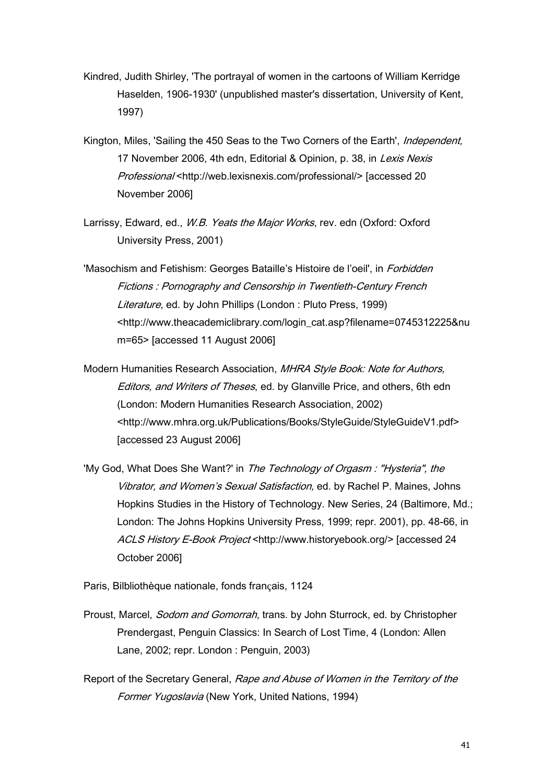- Kindred, Judith Shirley, 'The portrayal of women in the cartoons of William Kerridge Haselden, 1906-1930' (unpublished master's dissertation, University of Kent, 1997)
- Kington, Miles, 'Sailing the 450 Seas to the Two Corners of the Earth', *Independent*, 17 November 2006, 4th edn. Editorial & Opinion, p. 38, in Lexis Nexis Professional <http://web.lexisnexis.com/professional/> [accessed 20 November 2006]
- Larrissy, Edward, ed., *W.B. Yeats the Major Works*, rey. edn (Oxford: Oxford University Press, 2001)

'Masochism and Fetishism: Georges Bataille's Histoire de l'oeil', in Forbidden Fictions : Pornography and Censorship in Twentieth-Century French Literature, ed. by John Phillips (London: Pluto Press, 1999) <http://www.theacademiclibrary.com/login\_cat.asp?filename=0745312225&nu m=65> [accessed 11 August 2006]

Modern Humanities Research Association, MHRA Style Book: Note for Authors, Editors, and Writers of Theses, ed. by Glanville Price, and others, 6th edn (London: Modern Humanities Research Association, 2002) <http://www.mhra.org.uk/Publications/Books/StyleGuide/StyleGuideV1.pdf> [accessed 23 August 2006]

'My God, What Does She Want?' in The Technology of Orgasm: "Hysteria", the Vibrator, and Women's Sexual Satisfaction, ed. by Rachel P. Maines, Johns Hopkins Studies in the History of Technology. New Series, 24 (Baltimore, Md.; London: The Johns Hopkins University Press, 1999; repr. 2001), pp. 48-66, in ACLS History E-Book Project <http://www.historyebook.org/> [accessed 24 October 2006]

Paris, Bilbliothèque nationale, fonds français, 1124

- Proust, Marcel, *Sodom and Gomorrah*, trans. by John Sturrock, ed. by Christopher Prendergast, Penguin Classics: In Search of Lost Time, 4 (London: Allen Lane, 2002; repr. London : Penguin, 2003)
- Report of the Secretary General, Rape and Abuse of Women in the Territory of the Former Yugoslavia (New York, United Nations, 1994)